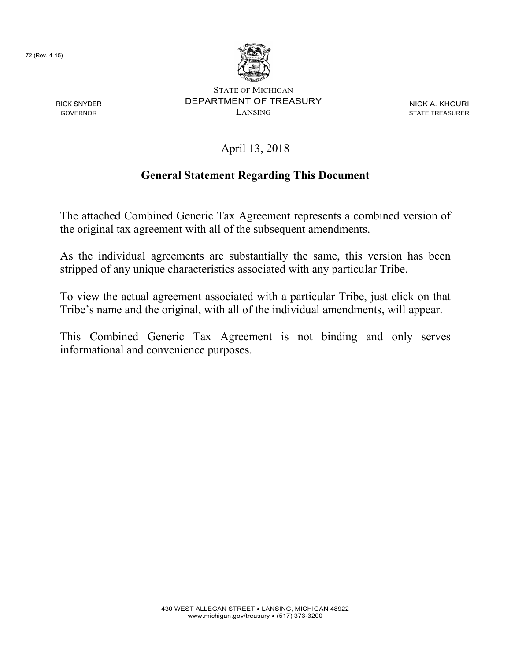72 (Rev. 4-15)

RICK SNYDER GOVERNOR



STATE OF MICHIGAN DEPARTMENT OF TREASURY LANSING

NICK A. KHOURI STATE TREASURER

April 13, 2018

# **General Statement Regarding This Document**

The attached Combined Generic Tax Agreement represents a combined version of the original tax agreement with all of the subsequent amendments.

As the individual agreements are substantially the same, this version has been stripped of any unique characteristics associated with any particular Tribe.

To view the actual agreement associated with a particular Tribe, just click on that Tribe's name and the original, with all of the individual amendments, will appear.

This Combined Generic Tax Agreement is not binding and only serves informational and convenience purposes.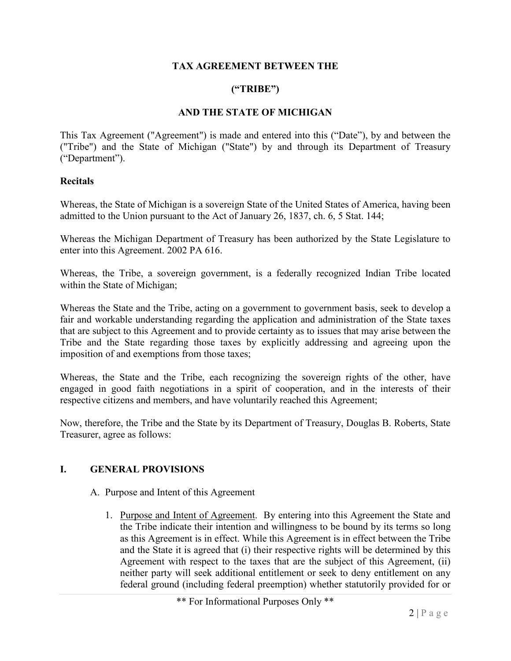#### **TAX AGREEMENT BETWEEN THE**

#### **("TRIBE")**

#### **AND THE STATE OF MICHIGAN**

This Tax Agreement ("Agreement") is made and entered into this ("Date"), by and between the ("Tribe") and the State of Michigan ("State") by and through its Department of Treasury ("Department").

#### **Recitals**

Whereas, the State of Michigan is a sovereign State of the United States of America, having been admitted to the Union pursuant to the Act of January 26, 1837, ch. 6, 5 Stat. 144;

Whereas the Michigan Department of Treasury has been authorized by the State Legislature to enter into this Agreement. 2002 PA 616.

Whereas, the Tribe, a sovereign government, is a federally recognized Indian Tribe located within the State of Michigan;

Whereas the State and the Tribe, acting on a government to government basis, seek to develop a fair and workable understanding regarding the application and administration of the State taxes that are subject to this Agreement and to provide certainty as to issues that may arise between the Tribe and the State regarding those taxes by explicitly addressing and agreeing upon the imposition of and exemptions from those taxes;

Whereas, the State and the Tribe, each recognizing the sovereign rights of the other, have engaged in good faith negotiations in a spirit of cooperation, and in the interests of their respective citizens and members, and have voluntarily reached this Agreement;

Now, therefore, the Tribe and the State by its Department of Treasury, Douglas B. Roberts, State Treasurer, agree as follows:

#### **I. GENERAL PROVISIONS**

- A. Purpose and Intent of this Agreement
	- 1. Purpose and Intent of Agreement. By entering into this Agreement the State and the Tribe indicate their intention and willingness to be bound by its terms so long as this Agreement is in effect. While this Agreement is in effect between the Tribe and the State it is agreed that (i) their respective rights will be determined by this Agreement with respect to the taxes that are the subject of this Agreement, (ii) neither party will seek additional entitlement or seek to deny entitlement on any federal ground (including federal preemption) whether statutorily provided for or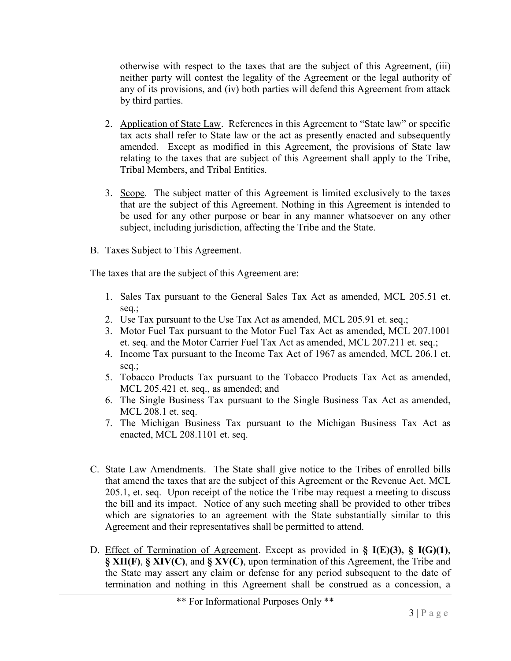otherwise with respect to the taxes that are the subject of this Agreement, (iii) neither party will contest the legality of the Agreement or the legal authority of any of its provisions, and (iv) both parties will defend this Agreement from attack by third parties.

- 2. Application of State Law. References in this Agreement to "State law" or specific tax acts shall refer to State law or the act as presently enacted and subsequently amended. Except as modified in this Agreement, the provisions of State law relating to the taxes that are subject of this Agreement shall apply to the Tribe, Tribal Members, and Tribal Entities.
- 3. Scope. The subject matter of this Agreement is limited exclusively to the taxes that are the subject of this Agreement. Nothing in this Agreement is intended to be used for any other purpose or bear in any manner whatsoever on any other subject, including jurisdiction, affecting the Tribe and the State.
- B. Taxes Subject to This Agreement.

The taxes that are the subject of this Agreement are:

- 1. Sales Tax pursuant to the General Sales Tax Act as amended, MCL 205.51 et. seq.;
- 2. Use Tax pursuant to the Use Tax Act as amended, MCL 205.91 et. seq.;
- 3. Motor Fuel Tax pursuant to the Motor Fuel Tax Act as amended, MCL 207.1001 et. seq. and the Motor Carrier Fuel Tax Act as amended, MCL 207.211 et. seq.;
- 4. Income Tax pursuant to the Income Tax Act of 1967 as amended, MCL 206.1 et. seq.;
- 5. Tobacco Products Tax pursuant to the Tobacco Products Tax Act as amended, MCL 205.421 et. seq., as amended; and
- 6. The Single Business Tax pursuant to the Single Business Tax Act as amended, MCL 208.1 et. seq.
- 7. The Michigan Business Tax pursuant to the Michigan Business Tax Act as enacted, MCL 208.1101 et. seq.
- C. State Law Amendments. The State shall give notice to the Tribes of enrolled bills that amend the taxes that are the subject of this Agreement or the Revenue Act. MCL 205.1, et. seq. Upon receipt of the notice the Tribe may request a meeting to discuss the bill and its impact. Notice of any such meeting shall be provided to other tribes which are signatories to an agreement with the State substantially similar to this Agreement and their representatives shall be permitted to attend.
- D. Effect of Termination of Agreement. Except as provided in **§ I(E)(3), § I(G)(1)**, **§ XII(F)**, **§ XIV(C)**, and **§ XV(C)**, upon termination of this Agreement, the Tribe and the State may assert any claim or defense for any period subsequent to the date of termination and nothing in this Agreement shall be construed as a concession, a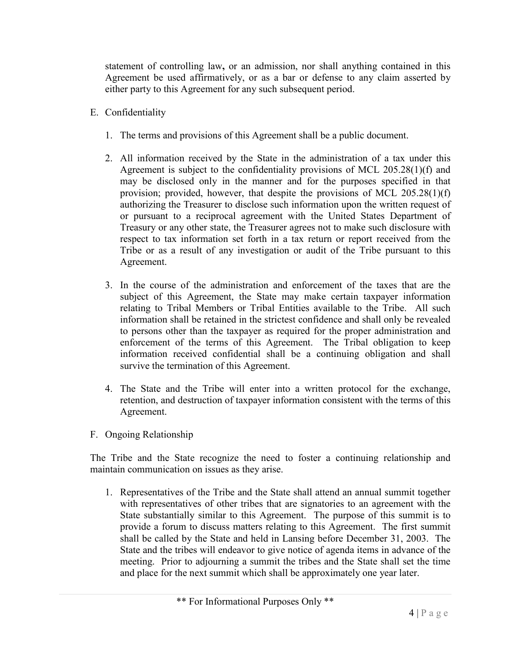statement of controlling law**,** or an admission, nor shall anything contained in this Agreement be used affirmatively, or as a bar or defense to any claim asserted by either party to this Agreement for any such subsequent period.

- E. Confidentiality
	- 1. The terms and provisions of this Agreement shall be a public document.
	- 2. All information received by the State in the administration of a tax under this Agreement is subject to the confidentiality provisions of MCL 205.28(1)(f) and may be disclosed only in the manner and for the purposes specified in that provision; provided, however, that despite the provisions of MCL 205.28(1)(f) authorizing the Treasurer to disclose such information upon the written request of or pursuant to a reciprocal agreement with the United States Department of Treasury or any other state, the Treasurer agrees not to make such disclosure with respect to tax information set forth in a tax return or report received from the Tribe or as a result of any investigation or audit of the Tribe pursuant to this Agreement.
	- 3. In the course of the administration and enforcement of the taxes that are the subject of this Agreement, the State may make certain taxpayer information relating to Tribal Members or Tribal Entities available to the Tribe. All such information shall be retained in the strictest confidence and shall only be revealed to persons other than the taxpayer as required for the proper administration and enforcement of the terms of this Agreement. The Tribal obligation to keep information received confidential shall be a continuing obligation and shall survive the termination of this Agreement.
	- 4. The State and the Tribe will enter into a written protocol for the exchange, retention, and destruction of taxpayer information consistent with the terms of this Agreement.
- F. Ongoing Relationship

The Tribe and the State recognize the need to foster a continuing relationship and maintain communication on issues as they arise.

1. Representatives of the Tribe and the State shall attend an annual summit together with representatives of other tribes that are signatories to an agreement with the State substantially similar to this Agreement. The purpose of this summit is to provide a forum to discuss matters relating to this Agreement. The first summit shall be called by the State and held in Lansing before December 31, 2003. The State and the tribes will endeavor to give notice of agenda items in advance of the meeting. Prior to adjourning a summit the tribes and the State shall set the time and place for the next summit which shall be approximately one year later.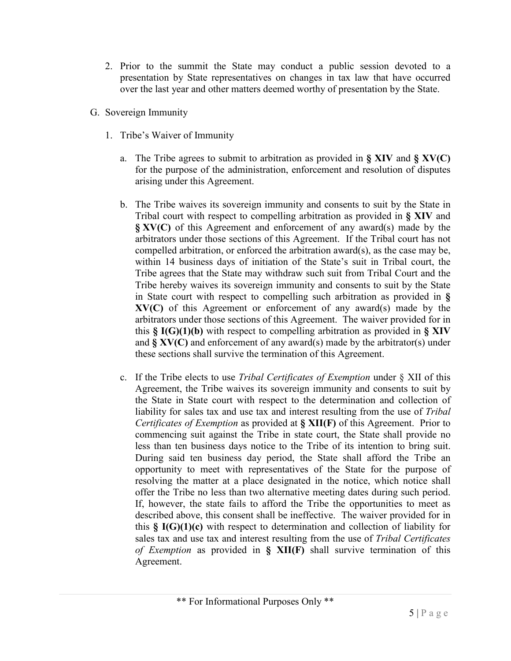- 2. Prior to the summit the State may conduct a public session devoted to a presentation by State representatives on changes in tax law that have occurred over the last year and other matters deemed worthy of presentation by the State.
- G. Sovereign Immunity
	- 1. Tribe's Waiver of Immunity
		- a. The Tribe agrees to submit to arbitration as provided in **§ XIV** and **§ XV(C)** for the purpose of the administration, enforcement and resolution of disputes arising under this Agreement.
		- b. The Tribe waives its sovereign immunity and consents to suit by the State in Tribal court with respect to compelling arbitration as provided in **§ XIV** and **§ XV(C)** of this Agreement and enforcement of any award(s) made by the arbitrators under those sections of this Agreement. If the Tribal court has not compelled arbitration, or enforced the arbitration award(s), as the case may be, within 14 business days of initiation of the State's suit in Tribal court, the Tribe agrees that the State may withdraw such suit from Tribal Court and the Tribe hereby waives its sovereign immunity and consents to suit by the State in State court with respect to compelling such arbitration as provided in **§ XV(C)** of this Agreement or enforcement of any award(s) made by the arbitrators under those sections of this Agreement. The waiver provided for in this **§ I(G)(1)(b)** with respect to compelling arbitration as provided in **§ XIV**  and **§ XV(C)** and enforcement of any award(s) made by the arbitrator(s) under these sections shall survive the termination of this Agreement.
		- c. If the Tribe elects to use *Tribal Certificates of Exemption* under § XII of this Agreement, the Tribe waives its sovereign immunity and consents to suit by the State in State court with respect to the determination and collection of liability for sales tax and use tax and interest resulting from the use of *Tribal Certificates of Exemption* as provided at **§ XII(F)** of this Agreement. Prior to commencing suit against the Tribe in state court, the State shall provide no less than ten business days notice to the Tribe of its intention to bring suit. During said ten business day period, the State shall afford the Tribe an opportunity to meet with representatives of the State for the purpose of resolving the matter at a place designated in the notice, which notice shall offer the Tribe no less than two alternative meeting dates during such period. If, however, the state fails to afford the Tribe the opportunities to meet as described above, this consent shall be ineffective. The waiver provided for in this **§ I(G)(1)(c)** with respect to determination and collection of liability for sales tax and use tax and interest resulting from the use of *Tribal Certificates of Exemption* as provided in **§ XII(F)** shall survive termination of this Agreement.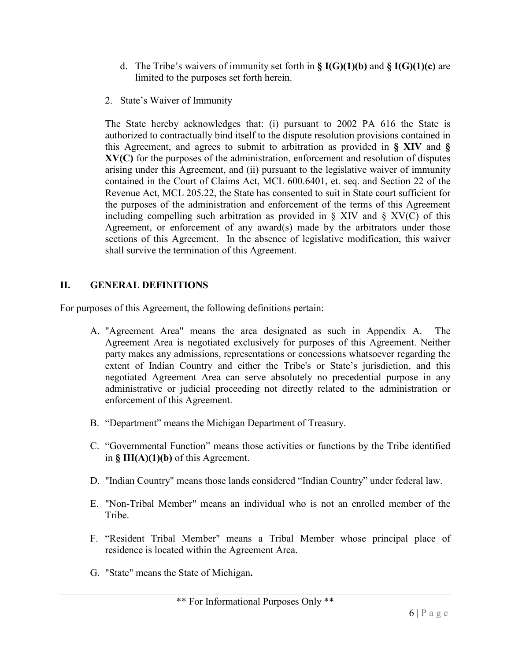- d. The Tribe's waivers of immunity set forth in **§ I(G)(1)(b)** and **§ I(G)(1)(c)** are limited to the purposes set forth herein.
- 2. State's Waiver of Immunity

The State hereby acknowledges that: (i) pursuant to 2002 PA 616 the State is authorized to contractually bind itself to the dispute resolution provisions contained in this Agreement, and agrees to submit to arbitration as provided in **§ XIV** and **§ XV(C)** for the purposes of the administration, enforcement and resolution of disputes arising under this Agreement, and (ii) pursuant to the legislative waiver of immunity contained in the Court of Claims Act, MCL 600.6401, et. seq. and Section 22 of the Revenue Act, MCL 205.22, the State has consented to suit in State court sufficient for the purposes of the administration and enforcement of the terms of this Agreement including compelling such arbitration as provided in  $\S$  XIV and  $\S$  XV(C) of this Agreement, or enforcement of any award(s) made by the arbitrators under those sections of this Agreement. In the absence of legislative modification, this waiver shall survive the termination of this Agreement.

# **II. GENERAL DEFI**N**ITIONS**

For purposes of this Agreement, the following definitions pertain:

- A. "Agreement Area" means the area designated as such in Appendix A. The Agreement Area is negotiated exclusively for purposes of this Agreement. Neither party makes any admissions, representations or concessions whatsoever regarding the extent of Indian Country and either the Tribe's or State's jurisdiction, and this negotiated Agreement Area can serve absolutely no precedential purpose in any administrative or judicial proceeding not directly related to the administration or enforcement of this Agreement.
- B. "Department" means the Michigan Department of Treasury.
- C. "Governmental Function" means those activities or functions by the Tribe identified in **§ III(A)(1)(b)** of this Agreement.
- D. "Indian Country" means those lands considered "Indian Country" under federal law.
- E. "Non-Tribal Member" means an individual who is not an enrolled member of the Tribe.
- F. "Resident Tribal Member" means a Tribal Member whose principal place of residence is located within the Agreement Area.
- G. "State" means the State of Michigan**.**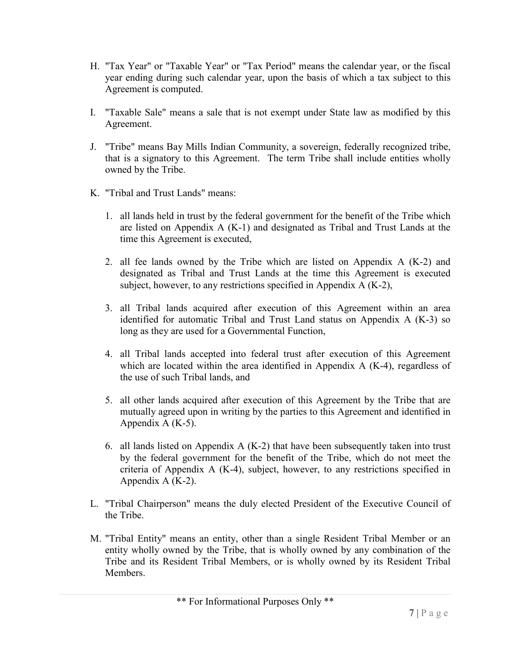- H. "Tax Year" or "Taxable Year" or "Tax Period" means the calendar year, or the fiscal year ending during such calendar year, upon the basis of which a tax subject to this Agreement is computed.
- I. "Taxable Sale" means a sale that is not exempt under State law as modified by this Agreement.
- J. "Tribe" means Bay Mills Indian Community, a sovereign, federally recognized tribe, that is a signatory to this Agreement. The term Tribe shall include entities wholly owned by the Tribe.
- K. "Tribal and Trust Lands" means:
	- 1. all lands held in trust by the federal government for the benefit of the Tribe which are listed on Appendix A (K-1) and designated as Tribal and Trust Lands at the time this Agreement is executed,
	- 2. all fee lands owned by the Tribe which are listed on Appendix A (K-2) and designated as Tribal and Trust Lands at the time this Agreement is executed subject, however, to any restrictions specified in Appendix A (K-2),
	- 3. all Tribal lands acquired after execution of this Agreement within an area identified for automatic Tribal and Trust Land status on Appendix A (K-3) so long as they are used for a Governmental Function,
	- 4. all Tribal lands accepted into federal trust after execution of this Agreement which are located within the area identified in Appendix A (K-4), regardless of the use of such Tribal lands, and
	- 5. all other lands acquired after execution of this Agreement by the Tribe that are mutually agreed upon in writing by the parties to this Agreement and identified in Appendix  $A$  (K-5).
	- 6. all lands listed on Appendix A (K-2) that have been subsequently taken into trust by the federal government for the benefit of the Tribe, which do not meet the criteria of Appendix A (K-4), subject, however, to any restrictions specified in Appendix A (K-2).
- L. "Tribal Chairperson" means the duly elected President of the Executive Council of the Tribe.
- M. "Tribal Entity" means an entity, other than a single Resident Tribal Member or an entity wholly owned by the Tribe, that is wholly owned by any combination of the Tribe and its Resident Tribal Members, or is wholly owned by its Resident Tribal Members.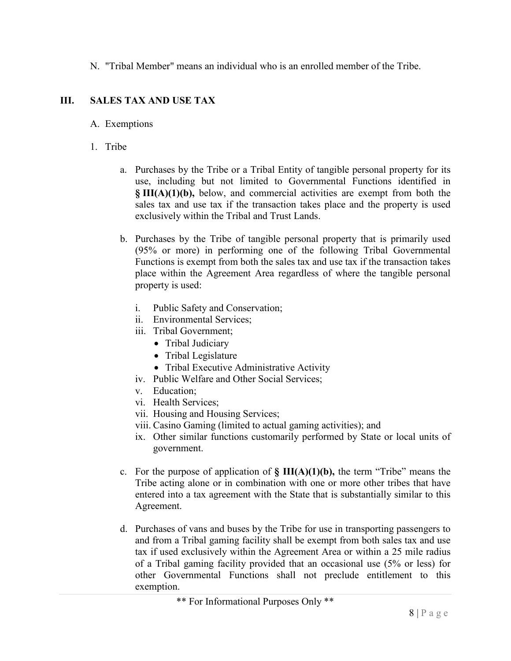N. "Tribal Member" means an individual who is an enrolled member of the Tribe.

# **III. SALES TAX AND USE TAX**

#### A. Exemptions

- 1. Tribe
	- a. Purchases by the Tribe or a Tribal Entity of tangible personal property for its use, including but not limited to Governmental Functions identified in **§ III(A)(1)(b),** below, and commercial activities are exempt from both the sales tax and use tax if the transaction takes place and the property is used exclusively within the Tribal and Trust Lands.
	- b. Purchases by the Tribe of tangible personal property that is primarily used (95% or more) in performing one of the following Tribal Governmental Functions is exempt from both the sales tax and use tax if the transaction takes place within the Agreement Area regardless of where the tangible personal property is used:
		- i. Public Safety and Conservation;
		- ii. Environmental Services;
		- iii. Tribal Government;
			- Tribal Judiciary
			- Tribal Legislature
			- Tribal Executive Administrative Activity
		- iv. Public Welfare and Other Social Services;
		- v. Education;
		- vi. Health Services;
		- vii. Housing and Housing Services;
		- viii. Casino Gaming (limited to actual gaming activities); and
		- ix. Other similar functions customarily performed by State or local units of government.
	- c. For the purpose of application of **§ III(A)(1)(b),** the term "Tribe" means the Tribe acting alone or in combination with one or more other tribes that have entered into a tax agreement with the State that is substantially similar to this Agreement.
	- d. Purchases of vans and buses by the Tribe for use in transporting passengers to and from a Tribal gaming facility shall be exempt from both sales tax and use tax if used exclusively within the Agreement Area or within a 25 mile radius of a Tribal gaming facility provided that an occasional use (5% or less) for other Governmental Functions shall not preclude entitlement to this exemption.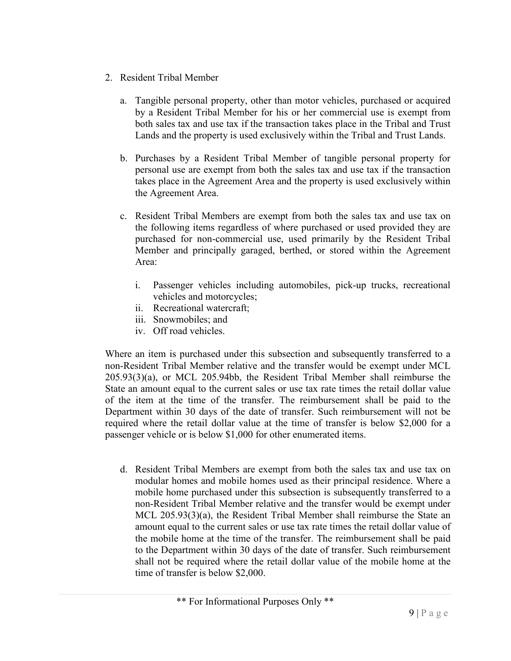- 2. Resident Tribal Member
	- a. Tangible personal property, other than motor vehicles, purchased or acquired by a Resident Tribal Member for his or her commercial use is exempt from both sales tax and use tax if the transaction takes place in the Tribal and Trust Lands and the property is used exclusively within the Tribal and Trust Lands.
	- b. Purchases by a Resident Tribal Member of tangible personal property for personal use are exempt from both the sales tax and use tax if the transaction takes place in the Agreement Area and the property is used exclusively within the Agreement Area.
	- c. Resident Tribal Members are exempt from both the sales tax and use tax on the following items regardless of where purchased or used provided they are purchased for non-commercial use, used primarily by the Resident Tribal Member and principally garaged, berthed, or stored within the Agreement Area:
		- i. Passenger vehicles including automobiles, pick-up trucks, recreational vehicles and motorcycles;
		- ii. Recreational watercraft;
		- iii. Snowmobiles; and
		- iv. Off road vehicles.

Where an item is purchased under this subsection and subsequently transferred to a non-Resident Tribal Member relative and the transfer would be exempt under MCL 205.93(3)(a), or MCL 205.94bb, the Resident Tribal Member shall reimburse the State an amount equal to the current sales or use tax rate times the retail dollar value of the item at the time of the transfer. The reimbursement shall be paid to the Department within 30 days of the date of transfer. Such reimbursement will not be required where the retail dollar value at the time of transfer is below \$2,000 for a passenger vehicle or is below \$1,000 for other enumerated items.

d. Resident Tribal Members are exempt from both the sales tax and use tax on modular homes and mobile homes used as their principal residence. Where a mobile home purchased under this subsection is subsequently transferred to a non-Resident Tribal Member relative and the transfer would be exempt under MCL 205.93(3)(a), the Resident Tribal Member shall reimburse the State an amount equal to the current sales or use tax rate times the retail dollar value of the mobile home at the time of the transfer. The reimbursement shall be paid to the Department within 30 days of the date of transfer. Such reimbursement shall not be required where the retail dollar value of the mobile home at the time of transfer is below \$2,000.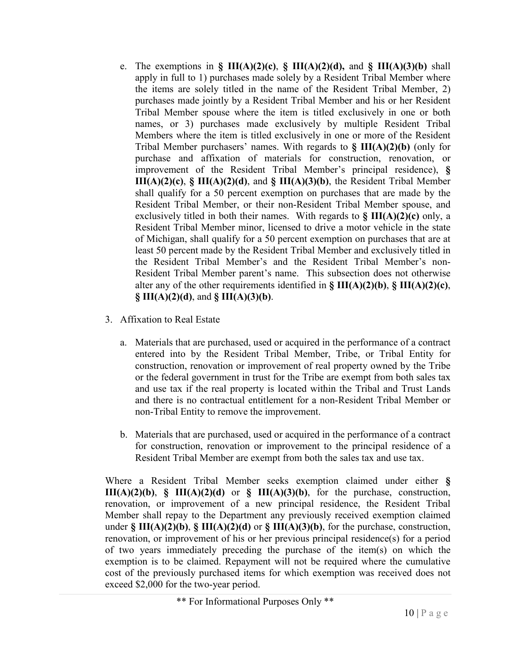- e. The exemptions in **§ III(A)(2)(c)**, **§ III(A)(2)(d),** and **§ III(A)(3)(b)** shall apply in full to 1) purchases made solely by a Resident Tribal Member where the items are solely titled in the name of the Resident Tribal Member, 2) purchases made jointly by a Resident Tribal Member and his or her Resident Tribal Member spouse where the item is titled exclusively in one or both names, or 3) purchases made exclusively by multiple Resident Tribal Members where the item is titled exclusively in one or more of the Resident Tribal Member purchasers' names. With regards to **§ III(A)(2)(b)** (only for purchase and affixation of materials for construction, renovation, or improvement of the Resident Tribal Member's principal residence), **§ III(A)(2)(c)**, **§ III(A)(2)(d)**, and **§ III(A)(3)(b)**, the Resident Tribal Member shall qualify for a 50 percent exemption on purchases that are made by the Resident Tribal Member, or their non-Resident Tribal Member spouse, and exclusively titled in both their names. With regards to **§ III(A)(2)(c)** only, a Resident Tribal Member minor, licensed to drive a motor vehicle in the state of Michigan, shall qualify for a 50 percent exemption on purchases that are at least 50 percent made by the Resident Tribal Member and exclusively titled in the Resident Tribal Member's and the Resident Tribal Member's non-Resident Tribal Member parent's name. This subsection does not otherwise alter any of the other requirements identified in **§ III(A)(2)(b)**, **§ III(A)(2)(c)**, **§ III(A)(2)(d)**, and **§ III(A)(3)(b)**.
- 3. Affixation to Real Estate
	- a. Materials that are purchased, used or acquired in the performance of a contract entered into by the Resident Tribal Member, Tribe, or Tribal Entity for construction, renovation or improvement of real property owned by the Tribe or the federal government in trust for the Tribe are exempt from both sales tax and use tax if the real property is located within the Tribal and Trust Lands and there is no contractual entitlement for a non-Resident Tribal Member or non-Tribal Entity to remove the improvement.
	- b. Materials that are purchased, used or acquired in the performance of a contract for construction, renovation or improvement to the principal residence of a Resident Tribal Member are exempt from both the sales tax and use tax.

Where a Resident Tribal Member seeks exemption claimed under either **§ III(A)(2)(b)**, **§ III(A)(2)(d)** or **§ III(A)(3)(b)**, for the purchase, construction, renovation, or improvement of a new principal residence, the Resident Tribal Member shall repay to the Department any previously received exemption claimed under **§ III(A)(2)(b)**, **§ III(A)(2)(d)** or **§ III(A)(3)(b)**, for the purchase, construction, renovation, or improvement of his or her previous principal residence(s) for a period of two years immediately preceding the purchase of the item(s) on which the exemption is to be claimed. Repayment will not be required where the cumulative cost of the previously purchased items for which exemption was received does not exceed \$2,000 for the two-year period.

<sup>\*\*</sup> For Informational Purposes Only \*\*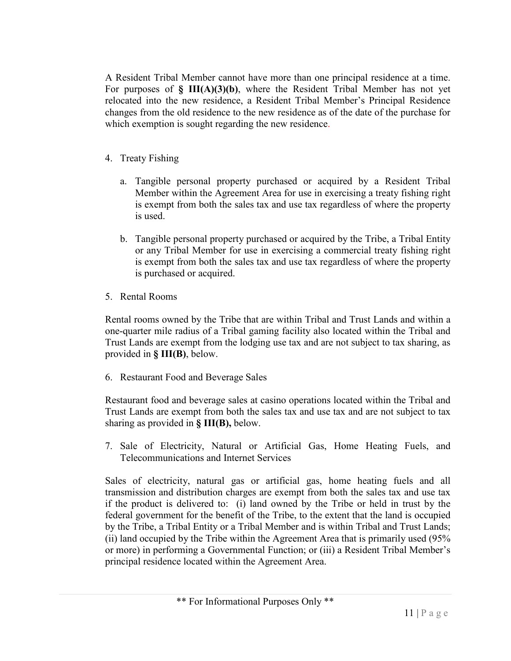A Resident Tribal Member cannot have more than one principal residence at a time. For purposes of  $\S$  III(A)(3)(b), where the Resident Tribal Member has not yet relocated into the new residence, a Resident Tribal Member's Principal Residence changes from the old residence to the new residence as of the date of the purchase for which exemption is sought regarding the new residence.

- 4. Treaty Fishing
	- a. Tangible personal property purchased or acquired by a Resident Tribal Member within the Agreement Area for use in exercising a treaty fishing right is exempt from both the sales tax and use tax regardless of where the property is used.
	- b. Tangible personal property purchased or acquired by the Tribe, a Tribal Entity or any Tribal Member for use in exercising a commercial treaty fishing right is exempt from both the sales tax and use tax regardless of where the property is purchased or acquired.
- 5. Rental Rooms

Rental rooms owned by the Tribe that are within Tribal and Trust Lands and within a one-quarter mile radius of a Tribal gaming facility also located within the Tribal and Trust Lands are exempt from the lodging use tax and are not subject to tax sharing, as provided in **§ III(B)**, below.

6. Restaurant Food and Beverage Sales

Restaurant food and beverage sales at casino operations located within the Tribal and Trust Lands are exempt from both the sales tax and use tax and are not subject to tax sharing as provided in **§ III(B),** below.

7. Sale of Electricity, Natural or Artificial Gas, Home Heating Fuels, and Telecommunications and Internet Services

Sales of electricity, natural gas or artificial gas, home heating fuels and all transmission and distribution charges are exempt from both the sales tax and use tax if the product is delivered to: (i) land owned by the Tribe or held in trust by the federal government for the benefit of the Tribe, to the extent that the land is occupied by the Tribe, a Tribal Entity or a Tribal Member and is within Tribal and Trust Lands; (ii) land occupied by the Tribe within the Agreement Area that is primarily used (95% or more) in performing a Governmental Function; or (iii) a Resident Tribal Member's principal residence located within the Agreement Area.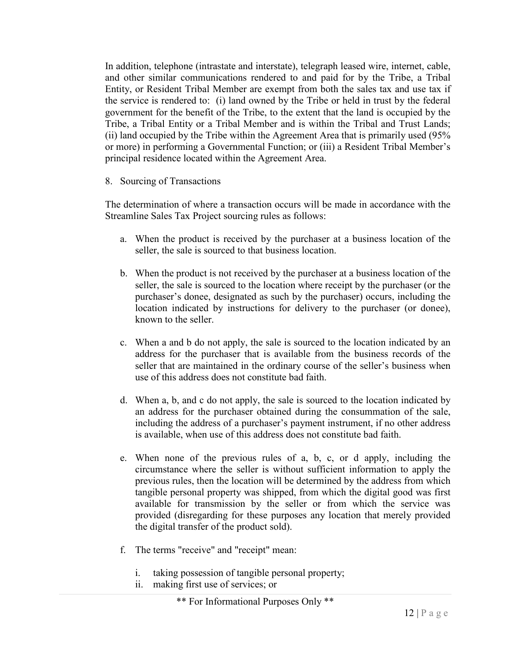In addition, telephone (intrastate and interstate), telegraph leased wire, internet, cable, and other similar communications rendered to and paid for by the Tribe, a Tribal Entity, or Resident Tribal Member are exempt from both the sales tax and use tax if the service is rendered to: (i) land owned by the Tribe or held in trust by the federal government for the benefit of the Tribe, to the extent that the land is occupied by the Tribe, a Tribal Entity or a Tribal Member and is within the Tribal and Trust Lands; (ii) land occupied by the Tribe within the Agreement Area that is primarily used (95% or more) in performing a Governmental Function; or (iii) a Resident Tribal Member's principal residence located within the Agreement Area.

8. Sourcing of Transactions

The determination of where a transaction occurs will be made in accordance with the Streamline Sales Tax Project sourcing rules as follows:

- a. When the product is received by the purchaser at a business location of the seller, the sale is sourced to that business location.
- b. When the product is not received by the purchaser at a business location of the seller, the sale is sourced to the location where receipt by the purchaser (or the purchaser's donee, designated as such by the purchaser) occurs, including the location indicated by instructions for delivery to the purchaser (or donee), known to the seller.
- c. When a and b do not apply, the sale is sourced to the location indicated by an address for the purchaser that is available from the business records of the seller that are maintained in the ordinary course of the seller's business when use of this address does not constitute bad faith.
- d. When a, b, and c do not apply, the sale is sourced to the location indicated by an address for the purchaser obtained during the consummation of the sale, including the address of a purchaser's payment instrument, if no other address is available, when use of this address does not constitute bad faith.
- e. When none of the previous rules of a, b, c, or d apply, including the circumstance where the seller is without sufficient information to apply the previous rules, then the location will be determined by the address from which tangible personal property was shipped, from which the digital good was first available for transmission by the seller or from which the service was provided (disregarding for these purposes any location that merely provided the digital transfer of the product sold).
- f. The terms "receive" and "receipt" mean:
	- i. taking possession of tangible personal property;
	- ii. making first use of services; or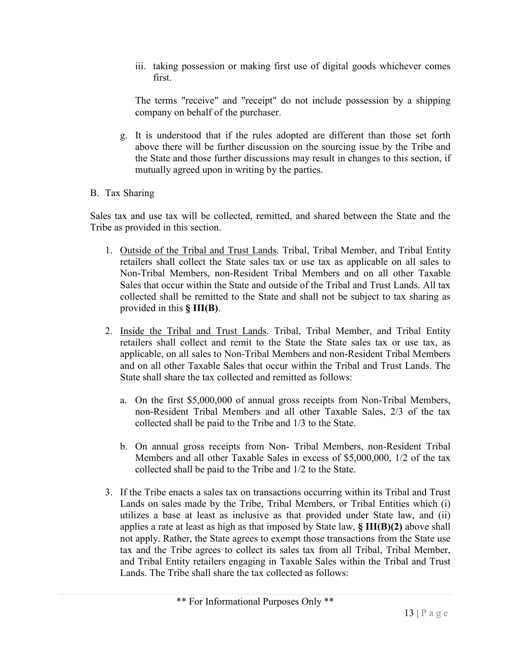iii. taking possession or making first use of digital goods whichever comes first.

The terms "receive" and "receipt" do not include possession by a shipping company on behalf of the purchaser.

- g. It is understood that if the rules adopted are different than those set forth above there will be further discussion on the sourcing issue by the Tribe and the State and those further discussions may result in changes to this section, if mutually agreed upon in writing by the parties.
- B. Tax Sharing

Sales tax and use tax will be collected, remitted, and shared between the State and the Tribe as provided in this section.

- 1. Outside of the Tribal and Trust Lands. Tribal, Tribal Member, and Tribal Entity retailers shall collect the State sales tax or use tax as applicable on all sales to Non-Tribal Members, non-Resident Tribal Members and on all other Taxable Sales that occur within the State and outside of the Tribal and Trust Lands. All tax collected shall be remitted to the State and shall not be subject to tax sharing as provided in this **§ III(B)**.
- 2. Inside the Tribal and Trust Lands. Tribal, Tribal Member, and Tribal Entity retailers shall collect and remit to the State the State sales tax or use tax, as applicable, on all sales to Non-Tribal Members and non-Resident Tribal Members and on all other Taxable Sales that occur within the Tribal and Trust Lands. The State shall share the tax collected and remitted as follows:
	- a. On the first \$5,000,000 of annual gross receipts from Non-Tribal Members, non-Resident Tribal Members and all other Taxable Sales, 2/3 of the tax collected shall be paid to the Tribe and 1/3 to the State.
	- b. On annual gross receipts from Non- Tribal Members, non-Resident Tribal Members and all other Taxable Sales in excess of \$5,000,000, 1/2 of the tax collected shall be paid to the Tribe and 1/2 to the State.
- 3. If the Tribe enacts a sales tax on transactions occurring within its Tribal and Trust Lands on sales made by the Tribe, Tribal Members, or Tribal Entities which (i) utilizes a base at least as inclusive as that provided under State law, and (ii) applies a rate at least as high as that imposed by State law, **§ III(B)(2)** above shall not apply. Rather, the State agrees to exempt those transactions from the State use tax and the Tribe agrees to collect its sales tax from all Tribal, Tribal Member, and Tribal Entity retailers engaging in Taxable Sales within the Tribal and Trust Lands. The Tribe shall share the tax collected as follows: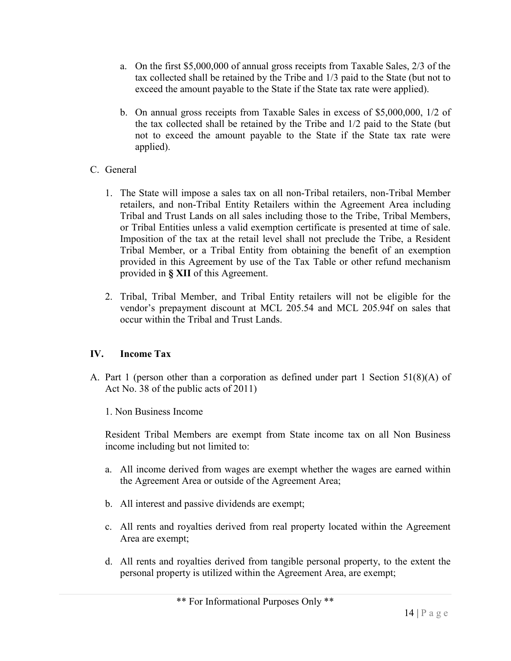- a. On the first \$5,000,000 of annual gross receipts from Taxable Sales, 2/3 of the tax collected shall be retained by the Tribe and 1/3 paid to the State (but not to exceed the amount payable to the State if the State tax rate were applied).
- b. On annual gross receipts from Taxable Sales in excess of \$5,000,000, 1/2 of the tax collected shall be retained by the Tribe and 1/2 paid to the State (but not to exceed the amount payable to the State if the State tax rate were applied).
- C. General
	- 1. The State will impose a sales tax on all non-Tribal retailers, non-Tribal Member retailers, and non-Tribal Entity Retailers within the Agreement Area including Tribal and Trust Lands on all sales including those to the Tribe, Tribal Members, or Tribal Entities unless a valid exemption certificate is presented at time of sale. Imposition of the tax at the retail level shall not preclude the Tribe, a Resident Tribal Member, or a Tribal Entity from obtaining the benefit of an exemption provided in this Agreement by use of the Tax Table or other refund mechanism provided in **§ XII** of this Agreement.
	- 2. Tribal, Tribal Member, and Tribal Entity retailers will not be eligible for the vendor's prepayment discount at MCL 205.54 and MCL 205.94f on sales that occur within the Tribal and Trust Lands.

# **IV. Income Tax**

- A. Part 1 (person other than a corporation as defined under part 1 Section 51(8)(A) of Act No. 38 of the public acts of 2011)
	- 1. Non Business Income

Resident Tribal Members are exempt from State income tax on all Non Business income including but not limited to:

- a. All income derived from wages are exempt whether the wages are earned within the Agreement Area or outside of the Agreement Area;
- b. All interest and passive dividends are exempt;
- c. All rents and royalties derived from real property located within the Agreement Area are exempt;
- d. All rents and royalties derived from tangible personal property, to the extent the personal property is utilized within the Agreement Area, are exempt;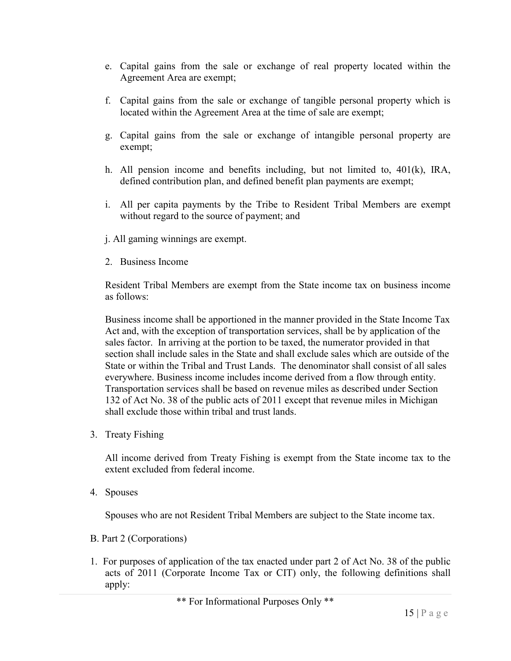- e. Capital gains from the sale or exchange of real property located within the Agreement Area are exempt;
- f. Capital gains from the sale or exchange of tangible personal property which is located within the Agreement Area at the time of sale are exempt;
- g. Capital gains from the sale or exchange of intangible personal property are exempt;
- h. All pension income and benefits including, but not limited to, 401(k), IRA, defined contribution plan, and defined benefit plan payments are exempt;
- i. All per capita payments by the Tribe to Resident Tribal Members are exempt without regard to the source of payment; and
- j. All gaming winnings are exempt.
- 2. Business Income

Resident Tribal Members are exempt from the State income tax on business income as follows:

Business income shall be apportioned in the manner provided in the State Income Tax Act and, with the exception of transportation services, shall be by application of the sales factor. In arriving at the portion to be taxed, the numerator provided in that section shall include sales in the State and shall exclude sales which are outside of the State or within the Tribal and Trust Lands. The denominator shall consist of all sales everywhere. Business income includes income derived from a flow through entity. Transportation services shall be based on revenue miles as described under Section 132 of Act No. 38 of the public acts of 2011 except that revenue miles in Michigan shall exclude those within tribal and trust lands.

3. Treaty Fishing

All income derived from Treaty Fishing is exempt from the State income tax to the extent excluded from federal income.

4. Spouses

Spouses who are not Resident Tribal Members are subject to the State income tax.

- B. Part 2 (Corporations)
- 1. For purposes of application of the tax enacted under part 2 of Act No. 38 of the public acts of 2011 (Corporate Income Tax or CIT) only, the following definitions shall apply: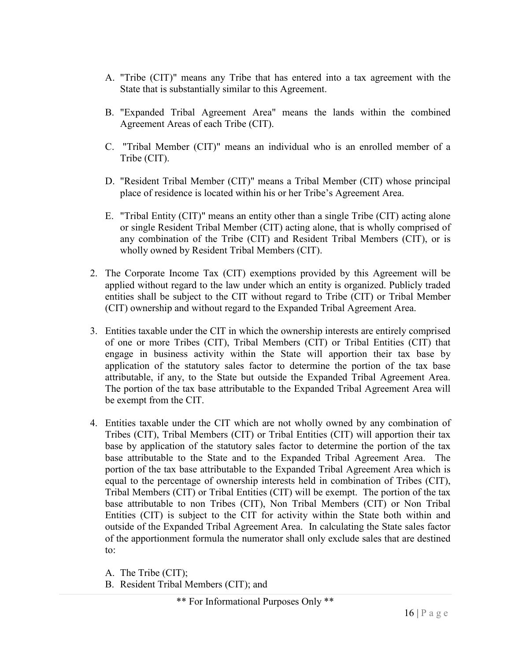- A. "Tribe (CIT)" means any Tribe that has entered into a tax agreement with the State that is substantially similar to this Agreement.
- B. "Expanded Tribal Agreement Area" means the lands within the combined Agreement Areas of each Tribe (CIT).
- C. "Tribal Member (CIT)" means an individual who is an enrolled member of a Tribe (CIT).
- D. "Resident Tribal Member (CIT)" means a Tribal Member (CIT) whose principal place of residence is located within his or her Tribe's Agreement Area.
- E. "Tribal Entity (CIT)" means an entity other than a single Tribe (CIT) acting alone or single Resident Tribal Member (CIT) acting alone, that is wholly comprised of any combination of the Tribe (CIT) and Resident Tribal Members (CIT), or is wholly owned by Resident Tribal Members (CIT).
- 2. The Corporate Income Tax (CIT) exemptions provided by this Agreement will be applied without regard to the law under which an entity is organized. Publicly traded entities shall be subject to the CIT without regard to Tribe (CIT) or Tribal Member (CIT) ownership and without regard to the Expanded Tribal Agreement Area.
- 3. Entities taxable under the CIT in which the ownership interests are entirely comprised of one or more Tribes (CIT), Tribal Members (CIT) or Tribal Entities (CIT) that engage in business activity within the State will apportion their tax base by application of the statutory sales factor to determine the portion of the tax base attributable, if any, to the State but outside the Expanded Tribal Agreement Area. The portion of the tax base attributable to the Expanded Tribal Agreement Area will be exempt from the CIT.
- 4. Entities taxable under the CIT which are not wholly owned by any combination of Tribes (CIT), Tribal Members (CIT) or Tribal Entities (CIT) will apportion their tax base by application of the statutory sales factor to determine the portion of the tax base attributable to the State and to the Expanded Tribal Agreement Area. The portion of the tax base attributable to the Expanded Tribal Agreement Area which is equal to the percentage of ownership interests held in combination of Tribes (CIT), Tribal Members (CIT) or Tribal Entities (CIT) will be exempt. The portion of the tax base attributable to non Tribes (CIT), Non Tribal Members (CIT) or Non Tribal Entities (CIT) is subject to the CIT for activity within the State both within and outside of the Expanded Tribal Agreement Area. In calculating the State sales factor of the apportionment formula the numerator shall only exclude sales that are destined to:

A. The Tribe (CIT);

B. Resident Tribal Members (CIT); and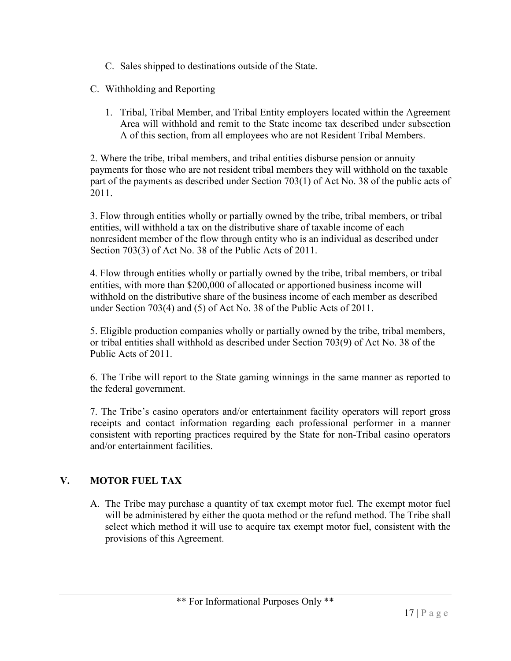- C. Sales shipped to destinations outside of the State.
- C. Withholding and Reporting
	- 1. Tribal, Tribal Member, and Tribal Entity employers located within the Agreement Area will withhold and remit to the State income tax described under subsection A of this section, from all employees who are not Resident Tribal Members.

2. Where the tribe, tribal members, and tribal entities disburse pension or annuity payments for those who are not resident tribal members they will withhold on the taxable part of the payments as described under Section 703(1) of Act No. 38 of the public acts of 2011.

3. Flow through entities wholly or partially owned by the tribe, tribal members, or tribal entities, will withhold a tax on the distributive share of taxable income of each nonresident member of the flow through entity who is an individual as described under Section 703(3) of Act No. 38 of the Public Acts of 2011.

4. Flow through entities wholly or partially owned by the tribe, tribal members, or tribal entities, with more than \$200,000 of allocated or apportioned business income will withhold on the distributive share of the business income of each member as described under Section 703(4) and (5) of Act No. 38 of the Public Acts of 2011.

5. Eligible production companies wholly or partially owned by the tribe, tribal members, or tribal entities shall withhold as described under Section 703(9) of Act No. 38 of the Public Acts of 2011.

6. The Tribe will report to the State gaming winnings in the same manner as reported to the federal government.

7. The Tribe's casino operators and/or entertainment facility operators will report gross receipts and contact information regarding each professional performer in a manner consistent with reporting practices required by the State for non-Tribal casino operators and/or entertainment facilities.

# **V. MOTOR FUEL TAX**

A. The Tribe may purchase a quantity of tax exempt motor fuel. The exempt motor fuel will be administered by either the quota method or the refund method. The Tribe shall select which method it will use to acquire tax exempt motor fuel, consistent with the provisions of this Agreement.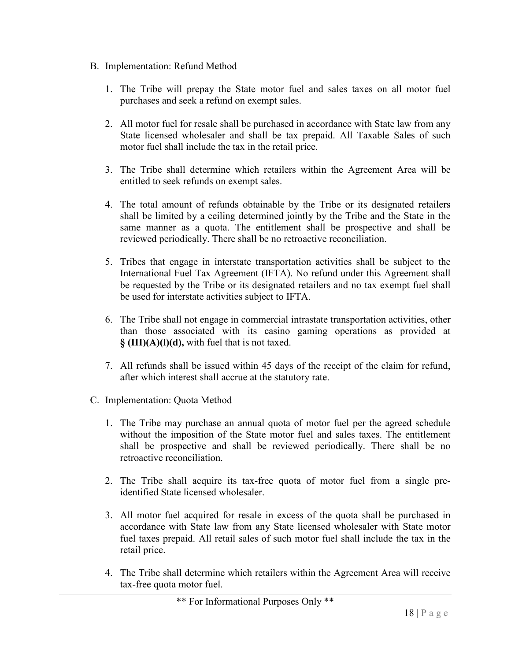- B. Implementation: Refund Method
	- 1. The Tribe will prepay the State motor fuel and sales taxes on all motor fuel purchases and seek a refund on exempt sales.
	- 2. All motor fuel for resale shall be purchased in accordance with State law from any State licensed wholesaler and shall be tax prepaid. All Taxable Sales of such motor fuel shall include the tax in the retail price.
	- 3. The Tribe shall determine which retailers within the Agreement Area will be entitled to seek refunds on exempt sales.
	- 4. The total amount of refunds obtainable by the Tribe or its designated retailers shall be limited by a ceiling determined jointly by the Tribe and the State in the same manner as a quota. The entitlement shall be prospective and shall be reviewed periodically. There shall be no retroactive reconciliation.
	- 5. Tribes that engage in interstate transportation activities shall be subject to the International Fuel Tax Agreement (IFTA). No refund under this Agreement shall be requested by the Tribe or its designated retailers and no tax exempt fuel shall be used for interstate activities subject to IFTA.
	- 6. The Tribe shall not engage in commercial intrastate transportation activities, other than those associated with its casino gaming operations as provided at **§ (III)(A)(l)(d),** with fuel that is not taxed.
	- 7. All refunds shall be issued within 45 days of the receipt of the claim for refund, after which interest shall accrue at the statutory rate.
- C. Implementation: Quota Method
	- 1. The Tribe may purchase an annual quota of motor fuel per the agreed schedule without the imposition of the State motor fuel and sales taxes. The entitlement shall be prospective and shall be reviewed periodically. There shall be no retroactive reconciliation.
	- 2. The Tribe shall acquire its tax-free quota of motor fuel from a single preidentified State licensed wholesaler.
	- 3. All motor fuel acquired for resale in excess of the quota shall be purchased in accordance with State law from any State licensed wholesaler with State motor fuel taxes prepaid. All retail sales of such motor fuel shall include the tax in the retail price.
	- 4. The Tribe shall determine which retailers within the Agreement Area will receive tax-free quota motor fuel.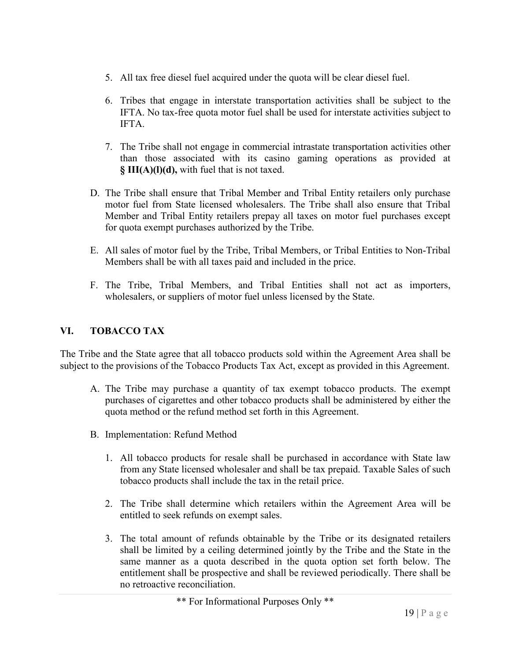- 5. All tax free diesel fuel acquired under the quota will be clear diesel fuel.
- 6. Tribes that engage in interstate transportation activities shall be subject to the IFTA. No tax-free quota motor fuel shall be used for interstate activities subject to IFTA.
- 7. The Tribe shall not engage in commercial intrastate transportation activities other than those associated with its casino gaming operations as provided at **§ III(A)(l)(d),** with fuel that is not taxed.
- D. The Tribe shall ensure that Tribal Member and Tribal Entity retailers only purchase motor fuel from State licensed wholesalers. The Tribe shall also ensure that Tribal Member and Tribal Entity retailers prepay all taxes on motor fuel purchases except for quota exempt purchases authorized by the Tribe.
- E. All sales of motor fuel by the Tribe, Tribal Members, or Tribal Entities to Non-Tribal Members shall be with all taxes paid and included in the price.
- F. The Tribe, Tribal Members, and Tribal Entities shall not act as importers, wholesalers, or suppliers of motor fuel unless licensed by the State.

# **VI. TOBACCO TAX**

The Tribe and the State agree that all tobacco products sold within the Agreement Area shall be subject to the provisions of the Tobacco Products Tax Act, except as provided in this Agreement.

- A. The Tribe may purchase a quantity of tax exempt tobacco products. The exempt purchases of cigarettes and other tobacco products shall be administered by either the quota method or the refund method set forth in this Agreement.
- B. Implementation: Refund Method
	- 1. All tobacco products for resale shall be purchased in accordance with State law from any State licensed wholesaler and shall be tax prepaid. Taxable Sales of such tobacco products shall include the tax in the retail price.
	- 2. The Tribe shall determine which retailers within the Agreement Area will be entitled to seek refunds on exempt sales.
	- 3. The total amount of refunds obtainable by the Tribe or its designated retailers shall be limited by a ceiling determined jointly by the Tribe and the State in the same manner as a quota described in the quota option set forth below. The entitlement shall be prospective and shall be reviewed periodically. There shall be no retroactive reconciliation.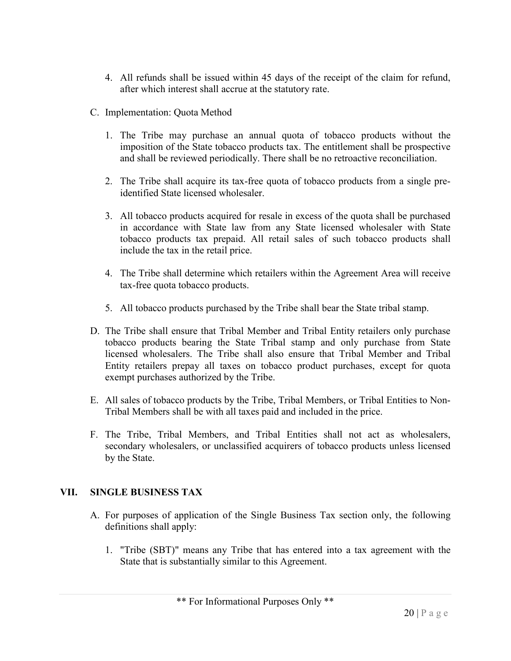- 4. All refunds shall be issued within 45 days of the receipt of the claim for refund, after which interest shall accrue at the statutory rate.
- C. Implementation: Quota Method
	- 1. The Tribe may purchase an annual quota of tobacco products without the imposition of the State tobacco products tax. The entitlement shall be prospective and shall be reviewed periodically. There shall be no retroactive reconciliation.
	- 2. The Tribe shall acquire its tax-free quota of tobacco products from a single preidentified State licensed wholesaler.
	- 3. All tobacco products acquired for resale in excess of the quota shall be purchased in accordance with State law from any State licensed wholesaler with State tobacco products tax prepaid. All retail sales of such tobacco products shall include the tax in the retail price.
	- 4. The Tribe shall determine which retailers within the Agreement Area will receive tax-free quota tobacco products.
	- 5. All tobacco products purchased by the Tribe shall bear the State tribal stamp.
- D. The Tribe shall ensure that Tribal Member and Tribal Entity retailers only purchase tobacco products bearing the State Tribal stamp and only purchase from State licensed wholesalers. The Tribe shall also ensure that Tribal Member and Tribal Entity retailers prepay all taxes on tobacco product purchases, except for quota exempt purchases authorized by the Tribe.
- E. All sales of tobacco products by the Tribe, Tribal Members, or Tribal Entities to Non-Tribal Members shall be with all taxes paid and included in the price.
- F. The Tribe, Tribal Members, and Tribal Entities shall not act as wholesalers, secondary wholesalers, or unclassified acquirers of tobacco products unless licensed by the State.

# **VII. SINGLE BUSINESS TAX**

- A. For purposes of application of the Single Business Tax section only, the following definitions shall apply:
	- 1. "Tribe (SBT)" means any Tribe that has entered into a tax agreement with the State that is substantially similar to this Agreement.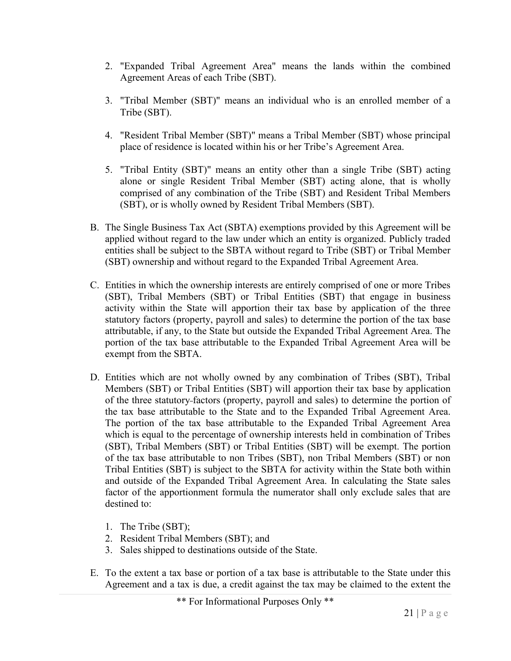- 2. "Expanded Tribal Agreement Area" means the lands within the combined Agreement Areas of each Tribe (SBT).
- 3. "Tribal Member (SBT)" means an individual who is an enrolled member of a Tribe (SBT).
- 4. "Resident Tribal Member (SBT)" means a Tribal Member (SBT) whose principal place of residence is located within his or her Tribe's Agreement Area.
- 5. "Tribal Entity (SBT)" means an entity other than a single Tribe (SBT) acting alone or single Resident Tribal Member (SBT) acting alone, that is wholly comprised of any combination of the Tribe (SBT) and Resident Tribal Members (SBT), or is wholly owned by Resident Tribal Members (SBT).
- B. The Single Business Tax Act (SBTA) exemptions provided by this Agreement will be applied without regard to the law under which an entity is organized. Publicly traded entities shall be subject to the SBTA without regard to Tribe (SBT) or Tribal Member (SBT) ownership and without regard to the Expanded Tribal Agreement Area.
- C. Entities in which the ownership interests are entirely comprised of one or more Tribes (SBT), Tribal Members (SBT) or Tribal Entities (SBT) that engage in business activity within the State will apportion their tax base by application of the three statutory factors (property, payroll and sales) to determine the portion of the tax base attributable, if any, to the State but outside the Expanded Tribal Agreement Area. The portion of the tax base attributable to the Expanded Tribal Agreement Area will be exempt from the SBTA.
- D. Entities which are not wholly owned by any combination of Tribes (SBT), Tribal Members (SBT) or Tribal Entities (SBT) will apportion their tax base by application of the three statutory factors (property, payroll and sales) to determine the portion of the tax base attributable to the State and to the Expanded Tribal Agreement Area. The portion of the tax base attributable to the Expanded Tribal Agreement Area which is equal to the percentage of ownership interests held in combination of Tribes (SBT), Tribal Members (SBT) or Tribal Entities (SBT) will be exempt. The portion of the tax base attributable to non Tribes (SBT), non Tribal Members (SBT) or non Tribal Entities (SBT) is subject to the SBTA for activity within the State both within and outside of the Expanded Tribal Agreement Area. In calculating the State sales factor of the apportionment formula the numerator shall only exclude sales that are destined to:
	- 1. The Tribe (SBT);
	- 2. Resident Tribal Members (SBT); and
	- 3. Sales shipped to destinations outside of the State.
- E. To the extent a tax base or portion of a tax base is attributable to the State under this Agreement and a tax is due, a credit against the tax may be claimed to the extent the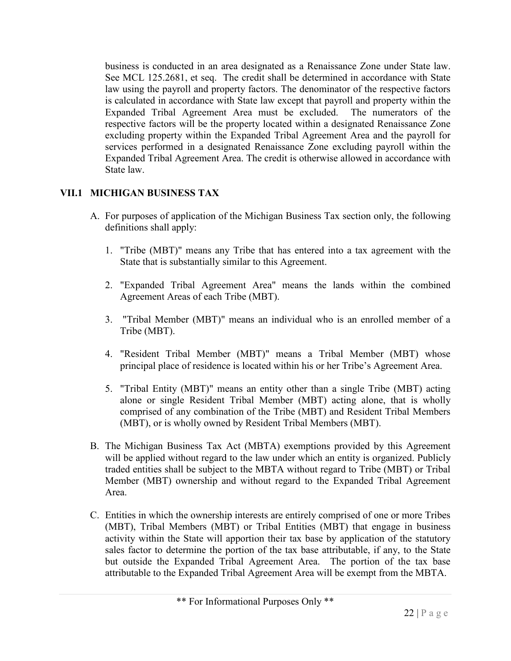business is conducted in an area designated as a Renaissance Zone under State law. See MCL 125.2681, et seq. The credit shall be determined in accordance with State law using the payroll and property factors. The denominator of the respective factors is calculated in accordance with State law except that payroll and property within the Expanded Tribal Agreement Area must be excluded. The numerators of the respective factors will be the property located within a designated Renaissance Zone excluding property within the Expanded Tribal Agreement Area and the payroll for services performed in a designated Renaissance Zone excluding payroll within the Expanded Tribal Agreement Area. The credit is otherwise allowed in accordance with State law.

# **VII.1 MICHIGAN BUSINESS TAX**

- A. For purposes of application of the Michigan Business Tax section only, the following definitions shall apply:
	- 1. "Tribe (MBT)" means any Tribe that has entered into a tax agreement with the State that is substantially similar to this Agreement.
	- 2. "Expanded Tribal Agreement Area" means the lands within the combined Agreement Areas of each Tribe (MBT).
	- 3. "Tribal Member (MBT)" means an individual who is an enrolled member of a Tribe (MBT).
	- 4. "Resident Tribal Member (MBT)" means a Tribal Member (MBT) whose principal place of residence is located within his or her Tribe's Agreement Area.
	- 5. "Tribal Entity (MBT)" means an entity other than a single Tribe (MBT) acting alone or single Resident Tribal Member (MBT) acting alone, that is wholly comprised of any combination of the Tribe (MBT) and Resident Tribal Members (MBT), or is wholly owned by Resident Tribal Members (MBT).
- B. The Michigan Business Tax Act (MBTA) exemptions provided by this Agreement will be applied without regard to the law under which an entity is organized. Publicly traded entities shall be subject to the MBTA without regard to Tribe (MBT) or Tribal Member (MBT) ownership and without regard to the Expanded Tribal Agreement Area.
- C. Entities in which the ownership interests are entirely comprised of one or more Tribes (MBT), Tribal Members (MBT) or Tribal Entities (MBT) that engage in business activity within the State will apportion their tax base by application of the statutory sales factor to determine the portion of the tax base attributable, if any, to the State but outside the Expanded Tribal Agreement Area. The portion of the tax base attributable to the Expanded Tribal Agreement Area will be exempt from the MBTA.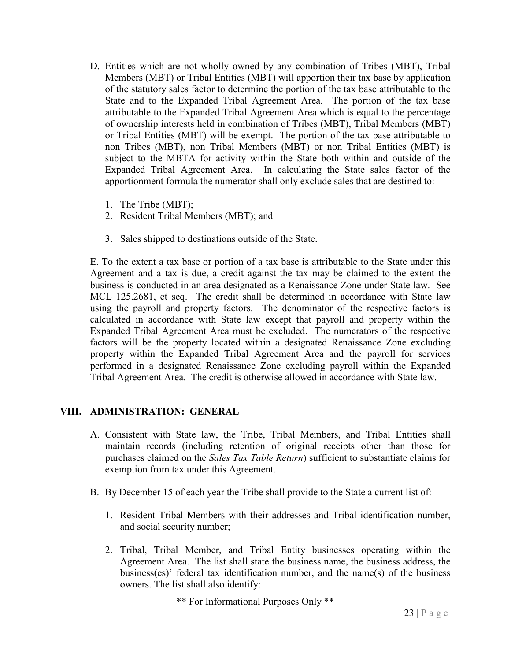- D. Entities which are not wholly owned by any combination of Tribes (MBT), Tribal Members (MBT) or Tribal Entities (MBT) will apportion their tax base by application of the statutory sales factor to determine the portion of the tax base attributable to the State and to the Expanded Tribal Agreement Area. The portion of the tax base attributable to the Expanded Tribal Agreement Area which is equal to the percentage of ownership interests held in combination of Tribes (MBT), Tribal Members (MBT) or Tribal Entities (MBT) will be exempt. The portion of the tax base attributable to non Tribes (MBT), non Tribal Members (MBT) or non Tribal Entities (MBT) is subject to the MBTA for activity within the State both within and outside of the Expanded Tribal Agreement Area. In calculating the State sales factor of the apportionment formula the numerator shall only exclude sales that are destined to:
	- 1. The Tribe (MBT);
	- 2. Resident Tribal Members (MBT); and
	- 3. Sales shipped to destinations outside of the State.

E. To the extent a tax base or portion of a tax base is attributable to the State under this Agreement and a tax is due, a credit against the tax may be claimed to the extent the business is conducted in an area designated as a Renaissance Zone under State law. See MCL 125.2681, et seq. The credit shall be determined in accordance with State law using the payroll and property factors. The denominator of the respective factors is calculated in accordance with State law except that payroll and property within the Expanded Tribal Agreement Area must be excluded. The numerators of the respective factors will be the property located within a designated Renaissance Zone excluding property within the Expanded Tribal Agreement Area and the payroll for services performed in a designated Renaissance Zone excluding payroll within the Expanded Tribal Agreement Area. The credit is otherwise allowed in accordance with State law.

# **VIII. ADMINISTRATION: GENERAL**

- A. Consistent with State law, the Tribe, Tribal Members, and Tribal Entities shall maintain records (including retention of original receipts other than those for purchases claimed on the *Sales Tax Table Return*) sufficient to substantiate claims for exemption from tax under this Agreement.
- B. By December 15 of each year the Tribe shall provide to the State a current list of:
	- 1. Resident Tribal Members with their addresses and Tribal identification number, and social security number;
	- 2. Tribal, Tribal Member, and Tribal Entity businesses operating within the Agreement Area. The list shall state the business name, the business address, the business(es)' federal tax identification number, and the name(s) of the business owners. The list shall also identify: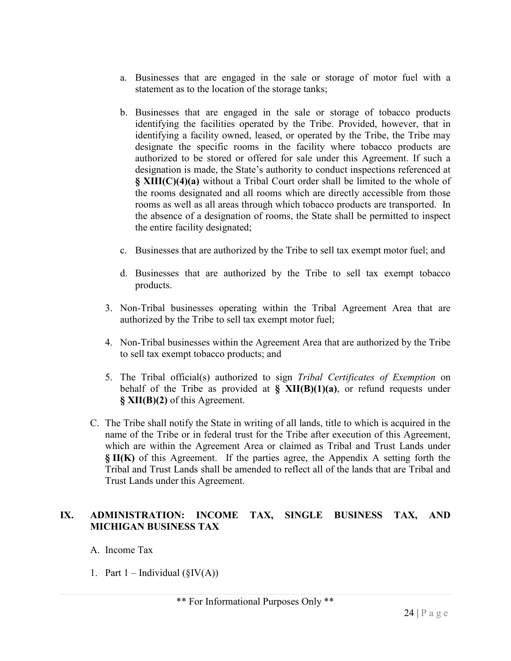- a. Businesses that are engaged in the sale or storage of motor fuel with a statement as to the location of the storage tanks;
- b. Businesses that are engaged in the sale or storage of tobacco products identifying the facilities operated by the Tribe. Provided, however, that in identifying a facility owned, leased, or operated by the Tribe, the Tribe may designate the specific rooms in the facility where tobacco products are authorized to be stored or offered for sale under this Agreement. If such a designation is made, the State's authority to conduct inspections referenced at **§ XIII(C)(4)(a)** without a Tribal Court order shall be limited to the whole of the rooms designated and all rooms which are directly accessible from those rooms as well as all areas through which tobacco products are transported. In the absence of a designation of rooms, the State shall be permitted to inspect the entire facility designated;
- c. Businesses that are authorized by the Tribe to sell tax exempt motor fuel; and
- d. Businesses that are authorized by the Tribe to sell tax exempt tobacco products.
- 3. Non-Tribal businesses operating within the Tribal Agreement Area that are authorized by the Tribe to sell tax exempt motor fuel;
- 4. Non-Tribal businesses within the Agreement Area that are authorized by the Tribe to sell tax exempt tobacco products; and
- 5. The Tribal official(s) authorized to sign *Tribal Certificates of Exemption* on behalf of the Tribe as provided at **§ XII(B)(1)(a)**, or refund requests under **§ XII(B)(2)** of this Agreement.
- C. The Tribe shall notify the State in writing of all lands, title to which is acquired in the name of the Tribe or in federal trust for the Tribe after execution of this Agreement, which are within the Agreement Area or claimed as Tribal and Trust Lands under **§ II(K)** of this Agreement. If the parties agree, the Appendix A setting forth the Tribal and Trust Lands shall be amended to reflect all of the lands that are Tribal and Trust Lands under this Agreement.

# **IX. ADMINISTRATION: INCOME TAX, SINGLE BUSINESS TAX, AND MICHIGAN BUSINESS TAX**

- A. Income Tax
- 1. Part  $1 -$  Individual ( $\S IV(A)$ )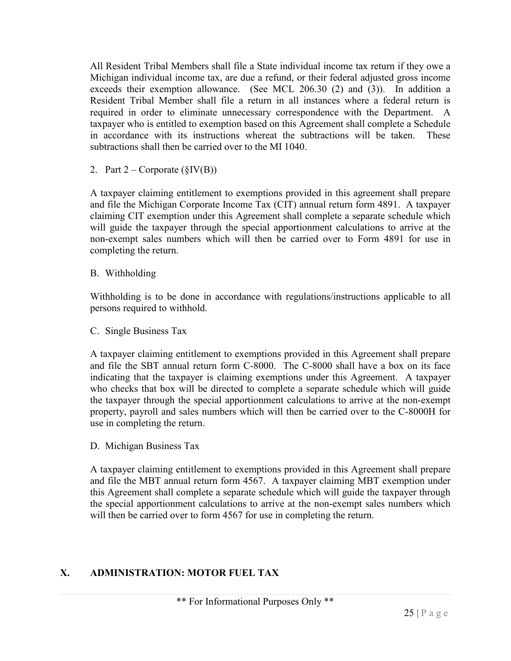All Resident Tribal Members shall file a State individual income tax return if they owe a Michigan individual income tax, are due a refund, or their federal adjusted gross income exceeds their exemption allowance. (See MCL 206.30 (2) and (3)). In addition a Resident Tribal Member shall file a return in all instances where a federal return is required in order to eliminate unnecessary correspondence with the Department. A taxpayer who is entitled to exemption based on this Agreement shall complete a Schedule in accordance with its instructions whereat the subtractions will be taken. These subtractions shall then be carried over to the MI 1040.

2. Part  $2$  – Corporate ( $\S$ IV(B))

A taxpayer claiming entitlement to exemptions provided in this agreement shall prepare and file the Michigan Corporate Income Tax (CIT) annual return form 4891. A taxpayer claiming CIT exemption under this Agreement shall complete a separate schedule which will guide the taxpayer through the special apportionment calculations to arrive at the non-exempt sales numbers which will then be carried over to Form 4891 for use in completing the return.

B. Withholding

Withholding is to be done in accordance with regulations/instructions applicable to all persons required to withhold.

C. Single Business Tax

A taxpayer claiming entitlement to exemptions provided in this Agreement shall prepare and file the SBT annual return form C-8000. The C-8000 shall have a box on its face indicating that the taxpayer is claiming exemptions under this Agreement. A taxpayer who checks that box will be directed to complete a separate schedule which will guide the taxpayer through the special apportionment calculations to arrive at the non-exempt property, payroll and sales numbers which will then be carried over to the C-8000H for use in completing the return.

D. Michigan Business Tax

A taxpayer claiming entitlement to exemptions provided in this Agreement shall prepare and file the MBT annual return form 4567. A taxpayer claiming MBT exemption under this Agreement shall complete a separate schedule which will guide the taxpayer through the special apportionment calculations to arrive at the non-exempt sales numbers which will then be carried over to form 4567 for use in completing the return.

# **X. ADMINISTRATION: MOTOR FUEL TAX**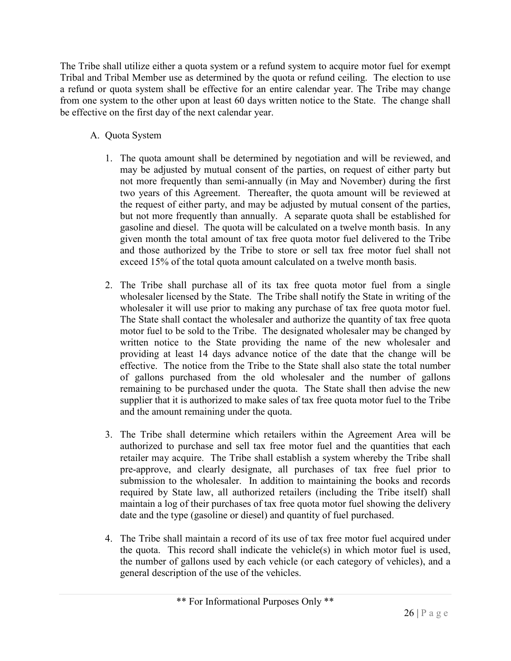The Tribe shall utilize either a quota system or a refund system to acquire motor fuel for exempt Tribal and Tribal Member use as determined by the quota or refund ceiling. The election to use a refund or quota system shall be effective for an entire calendar year. The Tribe may change from one system to the other upon at least 60 days written notice to the State. The change shall be effective on the first day of the next calendar year.

- A. Quota System
	- 1. The quota amount shall be determined by negotiation and will be reviewed, and may be adjusted by mutual consent of the parties, on request of either party but not more frequently than semi-annually (in May and November) during the first two years of this Agreement. Thereafter, the quota amount will be reviewed at the request of either party, and may be adjusted by mutual consent of the parties, but not more frequently than annually. A separate quota shall be established for gasoline and diesel. The quota will be calculated on a twelve month basis. In any given month the total amount of tax free quota motor fuel delivered to the Tribe and those authorized by the Tribe to store or sell tax free motor fuel shall not exceed 15% of the total quota amount calculated on a twelve month basis.
	- 2. The Tribe shall purchase all of its tax free quota motor fuel from a single wholesaler licensed by the State. The Tribe shall notify the State in writing of the wholesaler it will use prior to making any purchase of tax free quota motor fuel. The State shall contact the wholesaler and authorize the quantity of tax free quota motor fuel to be sold to the Tribe. The designated wholesaler may be changed by written notice to the State providing the name of the new wholesaler and providing at least 14 days advance notice of the date that the change will be effective. The notice from the Tribe to the State shall also state the total number of gallons purchased from the old wholesaler and the number of gallons remaining to be purchased under the quota. The State shall then advise the new supplier that it is authorized to make sales of tax free quota motor fuel to the Tribe and the amount remaining under the quota.
	- 3. The Tribe shall determine which retailers within the Agreement Area will be authorized to purchase and sell tax free motor fuel and the quantities that each retailer may acquire. The Tribe shall establish a system whereby the Tribe shall pre-approve, and clearly designate, all purchases of tax free fuel prior to submission to the wholesaler. In addition to maintaining the books and records required by State law, all authorized retailers (including the Tribe itself) shall maintain a log of their purchases of tax free quota motor fuel showing the delivery date and the type (gasoline or diesel) and quantity of fuel purchased.
	- 4. The Tribe shall maintain a record of its use of tax free motor fuel acquired under the quota. This record shall indicate the vehicle(s) in which motor fuel is used, the number of gallons used by each vehicle (or each category of vehicles), and a general description of the use of the vehicles.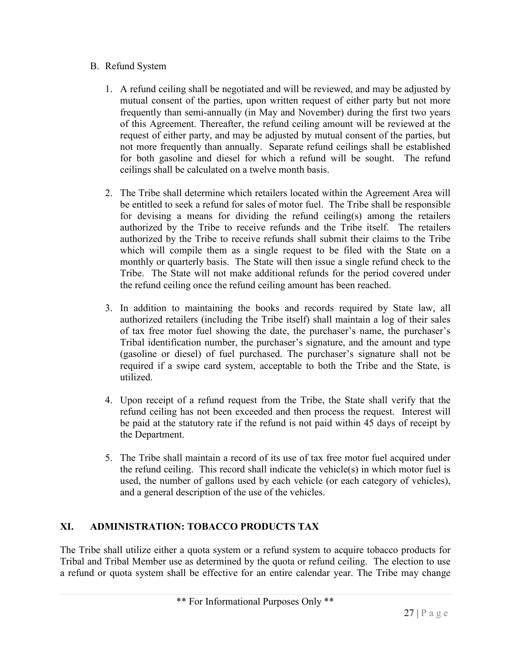# B. Refund System

- 1. A refund ceiling shall be negotiated and will be reviewed, and may be adjusted by mutual consent of the parties, upon written request of either party but not more frequently than semi-annually (in May and November) during the first two years of this Agreement. Thereafter, the refund ceiling amount will be reviewed at the request of either party, and may be adjusted by mutual consent of the parties, but not more frequently than annually. Separate refund ceilings shall be established for both gasoline and diesel for which a refund will be sought. The refund ceilings shall be calculated on a twelve month basis.
- 2. The Tribe shall determine which retailers located within the Agreement Area will be entitled to seek a refund for sales of motor fuel. The Tribe shall be responsible for devising a means for dividing the refund ceiling(s) among the retailers authorized by the Tribe to receive refunds and the Tribe itself. The retailers authorized by the Tribe to receive refunds shall submit their claims to the Tribe which will compile them as a single request to be filed with the State on a monthly or quarterly basis. The State will then issue a single refund check to the Tribe. The State will not make additional refunds for the period covered under the refund ceiling once the refund ceiling amount has been reached.
- 3. In addition to maintaining the books and records required by State law, all authorized retailers (including the Tribe itself) shall maintain a log of their sales of tax free motor fuel showing the date, the purchaser's name, the purchaser's Tribal identification number, the purchaser's signature, and the amount and type (gasoline or diesel) of fuel purchased. The purchaser's signature shall not be required if a swipe card system, acceptable to both the Tribe and the State, is utilized.
- 4. Upon receipt of a refund request from the Tribe, the State shall verify that the refund ceiling has not been exceeded and then process the request. Interest will be paid at the statutory rate if the refund is not paid within 45 days of receipt by the Department.
- 5. The Tribe shall maintain a record of its use of tax free motor fuel acquired under the refund ceiling. This record shall indicate the vehicle(s) in which motor fuel is used, the number of gallons used by each vehicle (or each category of vehicles), and a general description of the use of the vehicles.

# **XI. ADMINISTRATION: TOBACCO PRODUCTS TAX**

The Tribe shall utilize either a quota system or a refund system to acquire tobacco products for Tribal and Tribal Member use as determined by the quota or refund ceiling. The election to use a refund or quota system shall be effective for an entire calendar year. The Tribe may change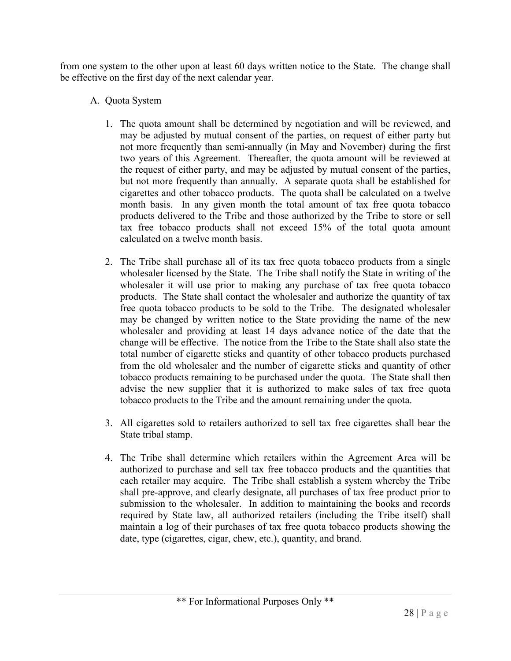from one system to the other upon at least 60 days written notice to the State. The change shall be effective on the first day of the next calendar year.

# A. Quota System

- 1. The quota amount shall be determined by negotiation and will be reviewed, and may be adjusted by mutual consent of the parties, on request of either party but not more frequently than semi-annually (in May and November) during the first two years of this Agreement. Thereafter, the quota amount will be reviewed at the request of either party, and may be adjusted by mutual consent of the parties, but not more frequently than annually. A separate quota shall be established for cigarettes and other tobacco products. The quota shall be calculated on a twelve month basis. In any given month the total amount of tax free quota tobacco products delivered to the Tribe and those authorized by the Tribe to store or sell tax free tobacco products shall not exceed 15% of the total quota amount calculated on a twelve month basis.
- 2. The Tribe shall purchase all of its tax free quota tobacco products from a single wholesaler licensed by the State. The Tribe shall notify the State in writing of the wholesaler it will use prior to making any purchase of tax free quota tobacco products. The State shall contact the wholesaler and authorize the quantity of tax free quota tobacco products to be sold to the Tribe. The designated wholesaler may be changed by written notice to the State providing the name of the new wholesaler and providing at least 14 days advance notice of the date that the change will be effective. The notice from the Tribe to the State shall also state the total number of cigarette sticks and quantity of other tobacco products purchased from the old wholesaler and the number of cigarette sticks and quantity of other tobacco products remaining to be purchased under the quota. The State shall then advise the new supplier that it is authorized to make sales of tax free quota tobacco products to the Tribe and the amount remaining under the quota.
- 3. All cigarettes sold to retailers authorized to sell tax free cigarettes shall bear the State tribal stamp.
- 4. The Tribe shall determine which retailers within the Agreement Area will be authorized to purchase and sell tax free tobacco products and the quantities that each retailer may acquire. The Tribe shall establish a system whereby the Tribe shall pre-approve, and clearly designate, all purchases of tax free product prior to submission to the wholesaler. In addition to maintaining the books and records required by State law, all authorized retailers (including the Tribe itself) shall maintain a log of their purchases of tax free quota tobacco products showing the date, type (cigarettes, cigar, chew, etc.), quantity, and brand.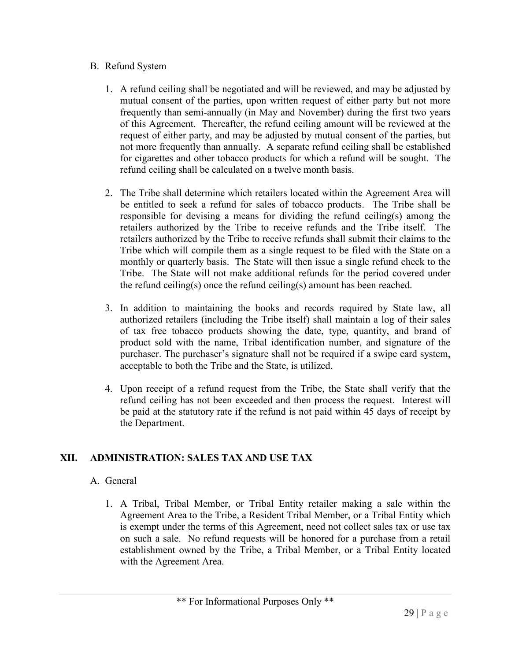#### B. Refund System

- 1. A refund ceiling shall be negotiated and will be reviewed, and may be adjusted by mutual consent of the parties, upon written request of either party but not more frequently than semi-annually (in May and November) during the first two years of this Agreement. Thereafter, the refund ceiling amount will be reviewed at the request of either party, and may be adjusted by mutual consent of the parties, but not more frequently than annually. A separate refund ceiling shall be established for cigarettes and other tobacco products for which a refund will be sought. The refund ceiling shall be calculated on a twelve month basis.
- 2. The Tribe shall determine which retailers located within the Agreement Area will be entitled to seek a refund for sales of tobacco products. The Tribe shall be responsible for devising a means for dividing the refund ceiling(s) among the retailers authorized by the Tribe to receive refunds and the Tribe itself. The retailers authorized by the Tribe to receive refunds shall submit their claims to the Tribe which will compile them as a single request to be filed with the State on a monthly or quarterly basis. The State will then issue a single refund check to the Tribe. The State will not make additional refunds for the period covered under the refund ceiling(s) once the refund ceiling(s) amount has been reached.
- 3. In addition to maintaining the books and records required by State law, all authorized retailers (including the Tribe itself) shall maintain a log of their sales of tax free tobacco products showing the date, type, quantity, and brand of product sold with the name, Tribal identification number, and signature of the purchaser. The purchaser's signature shall not be required if a swipe card system, acceptable to both the Tribe and the State, is utilized.
- 4. Upon receipt of a refund request from the Tribe, the State shall verify that the refund ceiling has not been exceeded and then process the request. Interest will be paid at the statutory rate if the refund is not paid within 45 days of receipt by the Department.

# **XII. ADMINISTRATION: SALES TAX AND USE TAX**

# A. General

1. A Tribal, Tribal Member, or Tribal Entity retailer making a sale within the Agreement Area to the Tribe, a Resident Tribal Member, or a Tribal Entity which is exempt under the terms of this Agreement, need not collect sales tax or use tax on such a sale. No refund requests will be honored for a purchase from a retail establishment owned by the Tribe, a Tribal Member, or a Tribal Entity located with the Agreement Area.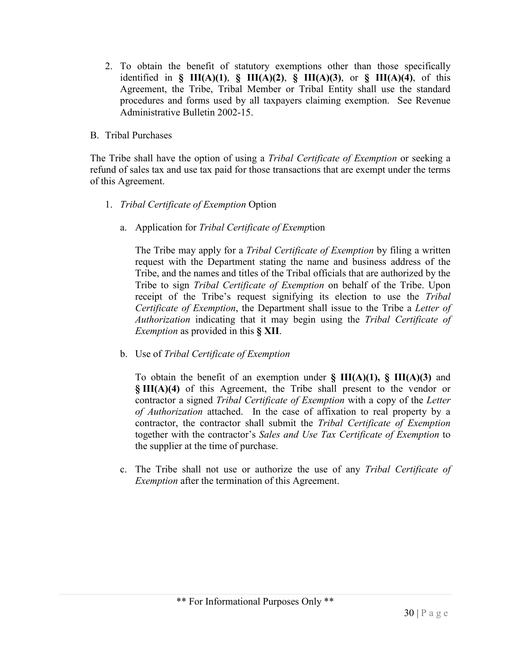2. To obtain the benefit of statutory exemptions other than those specifically identified in **§ III(A)(1)**, **§ III(A)(2)**, **§ III(A)(3)**, or **§ III(A)(4)**, of this Agreement, the Tribe, Tribal Member or Tribal Entity shall use the standard procedures and forms used by all taxpayers claiming exemption. See Revenue Administrative Bulletin 2002-15.

#### B. Tribal Purchases

The Tribe shall have the option of using a *Tribal Certificate of Exemption* or seeking a refund of sales tax and use tax paid for those transactions that are exempt under the terms of this Agreement.

- 1. *Tribal Certificate of Exemption* Option
	- a. Application for *Tribal Certificate of Exemp*tion

The Tribe may apply for a *Tribal Certificate of Exemption* by filing a written request with the Department stating the name and business address of the Tribe, and the names and titles of the Tribal officials that are authorized by the Tribe to sign *Tribal Certificate of Exemption* on behalf of the Tribe. Upon receipt of the Tribe's request signifying its election to use the *Tribal Certificate of Exemption*, the Department shall issue to the Tribe a *Letter of Authorization* indicating that it may begin using the *Tribal Certificate of Exemption* as provided in this **§ XII**.

b. Use of *Tribal Certificate of Exemption*

To obtain the benefit of an exemption under **§ III(A)(1), § III(A)(3)** and **§ III(A)(4)** of this Agreement, the Tribe shall present to the vendor or contractor a signed *Tribal Certificate of Exemption* with a copy of the *Letter of Authorization* attached. In the case of affixation to real property by a contractor, the contractor shall submit the *Tribal Certificate of Exemption* together with the contractor's *Sales and Use Tax Certificate of Exemption* to the supplier at the time of purchase.

c. The Tribe shall not use or authorize the use of any *Tribal Certificate of Exemption* after the termination of this Agreement.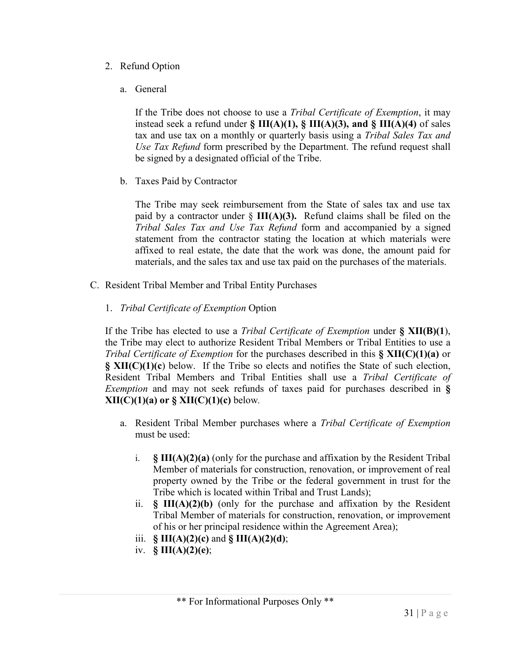- 2. Refund Option
	- a. General

If the Tribe does not choose to use a *Tribal Certificate of Exemption*, it may instead seek a refund under **§ III(A)(1), § III(A)(3), and § III(A)(4)** of sales tax and use tax on a monthly or quarterly basis using a *Tribal Sales Tax and Use Tax Refund* form prescribed by the Department. The refund request shall be signed by a designated official of the Tribe.

b. Taxes Paid by Contractor

The Tribe may seek reimbursement from the State of sales tax and use tax paid by a contractor under § **III(A)(3).** Refund claims shall be filed on the *Tribal Sales Tax and Use Tax Refund* form and accompanied by a signed statement from the contractor stating the location at which materials were affixed to real estate, the date that the work was done, the amount paid for materials, and the sales tax and use tax paid on the purchases of the materials.

- C. Resident Tribal Member and Tribal Entity Purchases
	- 1. *Tribal Certificate of Exemption* Option

If the Tribe has elected to use a *Tribal Certificate of Exemption* under **§ XII(B)(1**), the Tribe may elect to authorize Resident Tribal Members or Tribal Entities to use a *Tribal Certificate of Exemption* for the purchases described in this **§ XII(C)(1)(a)** or **§ XII(C)(1)(c**) below. If the Tribe so elects and notifies the State of such election, Resident Tribal Members and Tribal Entities shall use a *Tribal Certificate of Exemption* and may not seek refunds of taxes paid for purchases described in **§ XII(C)(1)(a) or § XII(C)(1)(c)** below*.*

- a. Resident Tribal Member purchases where a *Tribal Certificate of Exemption*  must be used:
	- i. **§ III(A)(2)(a)** (only for the purchase and affixation by the Resident Tribal Member of materials for construction, renovation, or improvement of real property owned by the Tribe or the federal government in trust for the Tribe which is located within Tribal and Trust Lands);
	- ii. **§ III(A)(2)(b)** (only for the purchase and affixation by the Resident Tribal Member of materials for construction, renovation, or improvement of his or her principal residence within the Agreement Area);
	- iii. **§ III(A)(2)(c)** and **§ III(A)(2)(d)**;
	- iv. **§ III(A)(2)(e)**;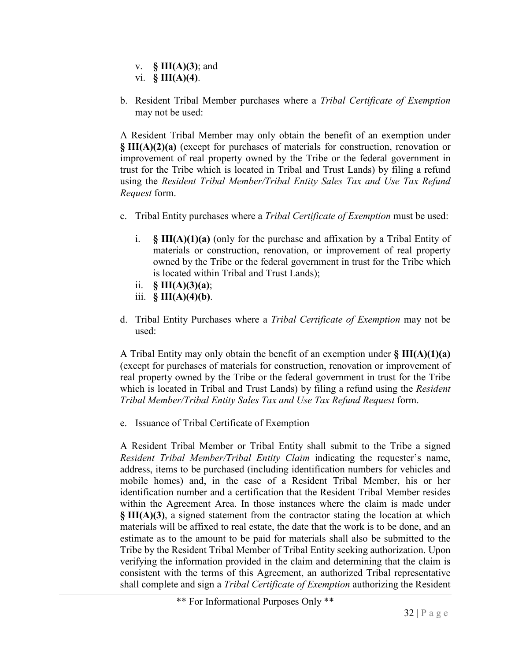- v. **§ III(A)(3)**; and vi. **§ III(A)(4)**.
- b. Resident Tribal Member purchases where a *Tribal Certificate of Exemption*  may not be used:

A Resident Tribal Member may only obtain the benefit of an exemption under **§ III(A)(2)(a)** (except for purchases of materials for construction, renovation or improvement of real property owned by the Tribe or the federal government in trust for the Tribe which is located in Tribal and Trust Lands) by filing a refund using the *Resident Tribal Member/Tribal Entity Sales Tax and Use Tax Refund Request* form.

- c. Tribal Entity purchases where a *Tribal Certificate of Exemption* must be used:
	- i. **§ III(A)(1)(a)** (only for the purchase and affixation by a Tribal Entity of materials or construction, renovation, or improvement of real property owned by the Tribe or the federal government in trust for the Tribe which is located within Tribal and Trust Lands);
	- ii. **§ III(A)(3)(a)**;
	- iii. **§ III(A)(4)(b)**.
- d. Tribal Entity Purchases where a *Tribal Certificate of Exemption* may not be used:

A Tribal Entity may only obtain the benefit of an exemption under **§ III(A)(1)(a)** (except for purchases of materials for construction, renovation or improvement of real property owned by the Tribe or the federal government in trust for the Tribe which is located in Tribal and Trust Lands) by filing a refund using the *Resident Tribal Member/Tribal Entity Sales Tax and Use Tax Refund Request* form.

e. Issuance of Tribal Certificate of Exemption

A Resident Tribal Member or Tribal Entity shall submit to the Tribe a signed *Resident Tribal Member/Tribal Entity Claim* indicating the requester's name, address, items to be purchased (including identification numbers for vehicles and mobile homes) and, in the case of a Resident Tribal Member, his or her identification number and a certification that the Resident Tribal Member resides within the Agreement Area. In those instances where the claim is made under **§ III(A)(3)**, a signed statement from the contractor stating the location at which materials will be affixed to real estate, the date that the work is to be done, and an estimate as to the amount to be paid for materials shall also be submitted to the Tribe by the Resident Tribal Member of Tribal Entity seeking authorization. Upon verifying the information provided in the claim and determining that the claim is consistent with the terms of this Agreement, an authorized Tribal representative shall complete and sign a *Tribal Certificate of Exemption* authorizing the Resident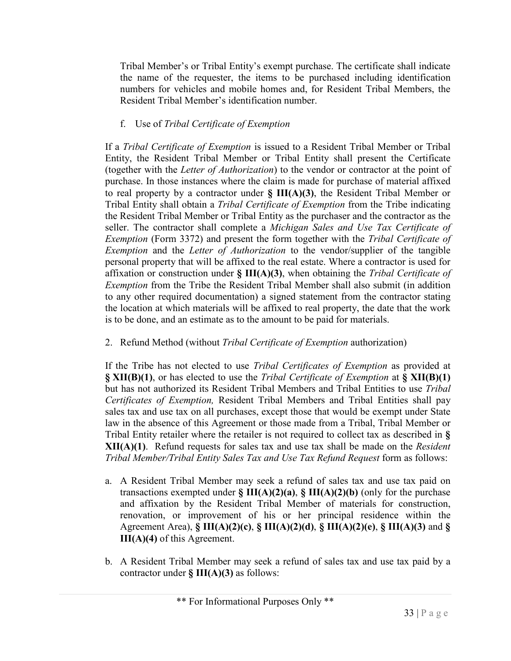Tribal Member's or Tribal Entity's exempt purchase. The certificate shall indicate the name of the requester, the items to be purchased including identification numbers for vehicles and mobile homes and, for Resident Tribal Members, the Resident Tribal Member's identification number.

# f. Use of *Tribal Certificate of Exemption*

If a *Tribal Certificate of Exemption* is issued to a Resident Tribal Member or Tribal Entity, the Resident Tribal Member or Tribal Entity shall present the Certificate (together with the *Letter of Authorization*) to the vendor or contractor at the point of purchase. In those instances where the claim is made for purchase of material affixed to real property by a contractor under **§ III(A)(3)**, the Resident Tribal Member or Tribal Entity shall obtain a *Tribal Certificate of Exemption* from the Tribe indicating the Resident Tribal Member or Tribal Entity as the purchaser and the contractor as the seller. The contractor shall complete a *Michigan Sales and Use Tax Certificate of Exemption* (Form 3372) and present the form together with the *Tribal Certificate of Exemption* and the *Letter of Authorization* to the vendor/supplier of the tangible personal property that will be affixed to the real estate. Where a contractor is used for affixation or construction under **§ III(A)(3)**, when obtaining the *Tribal Certificate of Exemption* from the Tribe the Resident Tribal Member shall also submit (in addition to any other required documentation) a signed statement from the contractor stating the location at which materials will be affixed to real property, the date that the work is to be done, and an estimate as to the amount to be paid for materials.

2. Refund Method (without *Tribal Certificate of Exemption* authorization)

If the Tribe has not elected to use *Tribal Certificates of Exemption* as provided at **§ XII(B)(1)**, or has elected to use the *Tribal Certificate of Exemption* at **§ XII(B)(1)** but has not authorized its Resident Tribal Members and Tribal Entities to use *Tribal Certificates of Exemption,* Resident Tribal Members and Tribal Entities shall pay sales tax and use tax on all purchases, except those that would be exempt under State law in the absence of this Agreement or those made from a Tribal, Tribal Member or Tribal Entity retailer where the retailer is not required to collect tax as described in **§ XII(A)(1)**. Refund requests for sales tax and use tax shall be made on the *Resident Tribal Member/Tribal Entity Sales Tax and Use Tax Refund Request* form as follows:

- a. A Resident Tribal Member may seek a refund of sales tax and use tax paid on transactions exempted under **§ III(A)(2)(a)**, **§ III(A)(2)(b)** (only for the purchase and affixation by the Resident Tribal Member of materials for construction, renovation, or improvement of his or her principal residence within the Agreement Area), **§ III(A)(2)(c)**, **§ III(A)(2)(d)**, **§ III(A)(2)(e)**, **§ III(A)(3)** and **§ III(A)(4)** of this Agreement.
- b. A Resident Tribal Member may seek a refund of sales tax and use tax paid by a contractor under **§ III(A)(3)** as follows: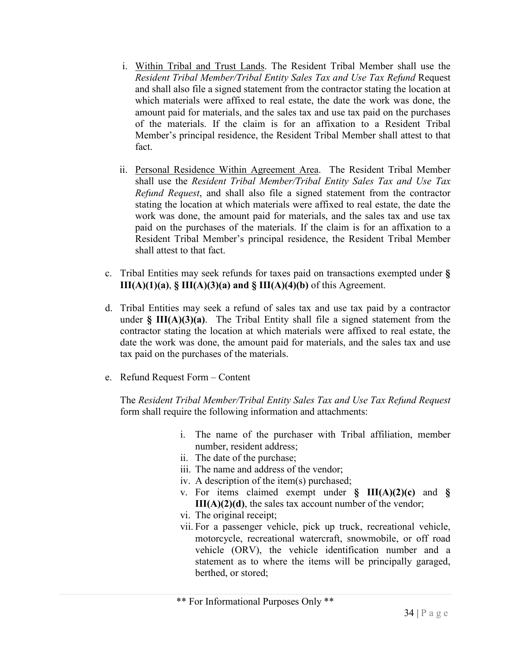- i. Within Tribal and Trust Lands. The Resident Tribal Member shall use the *Resident Tribal Member/Tribal Entity Sales Tax and Use Tax Refund* Request and shall also file a signed statement from the contractor stating the location at which materials were affixed to real estate, the date the work was done, the amount paid for materials, and the sales tax and use tax paid on the purchases of the materials. If the claim is for an affixation to a Resident Tribal Member's principal residence, the Resident Tribal Member shall attest to that fact.
- ii. Personal Residence Within Agreement Area. The Resident Tribal Member shall use the *Resident Tribal Member/Tribal Entity Sales Tax and Use Tax Refund Request*, and shall also file a signed statement from the contractor stating the location at which materials were affixed to real estate, the date the work was done, the amount paid for materials, and the sales tax and use tax paid on the purchases of the materials. If the claim is for an affixation to a Resident Tribal Member's principal residence, the Resident Tribal Member shall attest to that fact.
- c. Tribal Entities may seek refunds for taxes paid on transactions exempted under **§ III(A)(1)(a)**,  $\S$  **III(A)(3)(a)** and  $\S$  **III(A)(4)(b)** of this Agreement.
- d. Tribal Entities may seek a refund of sales tax and use tax paid by a contractor under **§ III(A)(3)(a)**. The Tribal Entity shall file a signed statement from the contractor stating the location at which materials were affixed to real estate, the date the work was done, the amount paid for materials, and the sales tax and use tax paid on the purchases of the materials.
- e. Refund Request Form Content

The *Resident Tribal Member/Tribal Entity Sales Tax and Use Tax Refund Request* form shall require the following information and attachments:

- i. The name of the purchaser with Tribal affiliation, member number, resident address;
- ii. The date of the purchase;
- iii. The name and address of the vendor;
- iv. A description of the item(s) purchased;
- v. For items claimed exempt under **§ III(A)(2)(c)** and **§ III(A)(2)(d)**, the sales tax account number of the vendor;
- vi. The original receipt;
- vii. For a passenger vehicle, pick up truck, recreational vehicle, motorcycle, recreational watercraft, snowmobile, or off road vehicle (ORV), the vehicle identification number and a statement as to where the items will be principally garaged, berthed, or stored;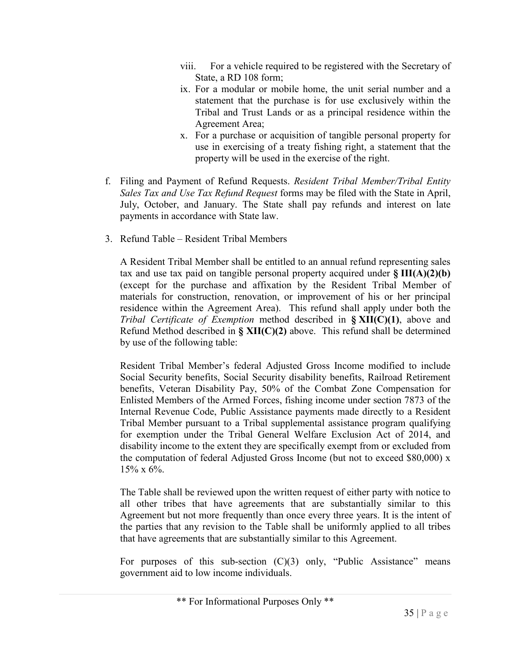- viii. For a vehicle required to be registered with the Secretary of State, a RD 108 form;
- ix. For a modular or mobile home, the unit serial number and a statement that the purchase is for use exclusively within the Tribal and Trust Lands or as a principal residence within the Agreement Area;
- x. For a purchase or acquisition of tangible personal property for use in exercising of a treaty fishing right, a statement that the property will be used in the exercise of the right.
- f. Filing and Payment of Refund Requests. *Resident Tribal Member/Tribal Entity Sales Tax and Use Tax Refund Request* forms may be filed with the State in April, July, October, and January. The State shall pay refunds and interest on late payments in accordance with State law.
- 3. Refund Table Resident Tribal Members

A Resident Tribal Member shall be entitled to an annual refund representing sales tax and use tax paid on tangible personal property acquired under **§ III(A)(2)(b)**  (except for the purchase and affixation by the Resident Tribal Member of materials for construction, renovation, or improvement of his or her principal residence within the Agreement Area). This refund shall apply under both the *Tribal Certificate of Exemption* method described in **§ XII(C)(1)**, above and Refund Method described in **§ XII(C)(2)** above. This refund shall be determined by use of the following table:

Resident Tribal Member's federal Adjusted Gross Income modified to include Social Security benefits, Social Security disability benefits, Railroad Retirement benefits, Veteran Disability Pay, 50% of the Combat Zone Compensation for Enlisted Members of the Armed Forces, fishing income under section 7873 of the Internal Revenue Code, Public Assistance payments made directly to a Resident Tribal Member pursuant to a Tribal supplemental assistance program qualifying for exemption under the Tribal General Welfare Exclusion Act of 2014, and disability income to the extent they are specifically exempt from or excluded from the computation of federal Adjusted Gross Income (but not to exceed \$80,000) x 15% x 6%.

The Table shall be reviewed upon the written request of either party with notice to all other tribes that have agreements that are substantially similar to this Agreement but not more frequently than once every three years. It is the intent of the parties that any revision to the Table shall be uniformly applied to all tribes that have agreements that are substantially similar to this Agreement.

For purposes of this sub-section  $(C)(3)$  only, "Public Assistance" means government aid to low income individuals.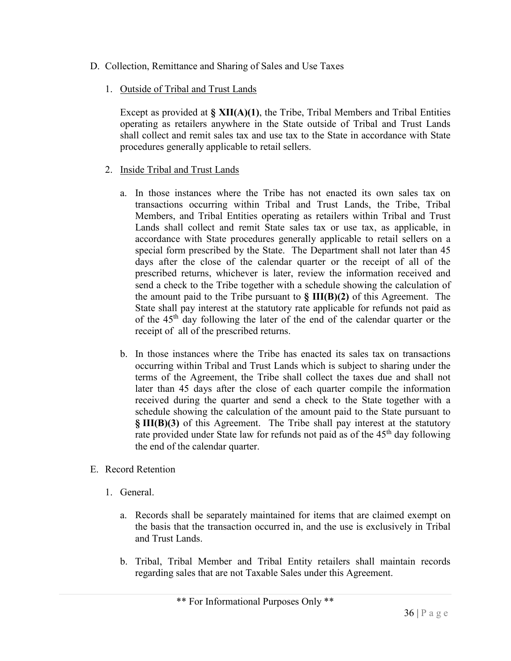- D. Collection, Remittance and Sharing of Sales and Use Taxes
	- 1. Outside of Tribal and Trust Lands

Except as provided at **§ XII(A)(1)**, the Tribe, Tribal Members and Tribal Entities operating as retailers anywhere in the State outside of Tribal and Trust Lands shall collect and remit sales tax and use tax to the State in accordance with State procedures generally applicable to retail sellers.

- 2. Inside Tribal and Trust Lands
	- a. In those instances where the Tribe has not enacted its own sales tax on transactions occurring within Tribal and Trust Lands, the Tribe, Tribal Members, and Tribal Entities operating as retailers within Tribal and Trust Lands shall collect and remit State sales tax or use tax, as applicable, in accordance with State procedures generally applicable to retail sellers on a special form prescribed by the State. The Department shall not later than 45 days after the close of the calendar quarter or the receipt of all of the prescribed returns, whichever is later, review the information received and send a check to the Tribe together with a schedule showing the calculation of the amount paid to the Tribe pursuant to **§ III(B)(2)** of this Agreement. The State shall pay interest at the statutory rate applicable for refunds not paid as of the 45th day following the later of the end of the calendar quarter or the receipt of all of the prescribed returns.
	- b. In those instances where the Tribe has enacted its sales tax on transactions occurring within Tribal and Trust Lands which is subject to sharing under the terms of the Agreement, the Tribe shall collect the taxes due and shall not later than 45 days after the close of each quarter compile the information received during the quarter and send a check to the State together with a schedule showing the calculation of the amount paid to the State pursuant to **§ III(B)(3)** of this Agreement. The Tribe shall pay interest at the statutory rate provided under State law for refunds not paid as of the 45<sup>th</sup> day following the end of the calendar quarter.
- E. Record Retention
	- 1. General.
		- a. Records shall be separately maintained for items that are claimed exempt on the basis that the transaction occurred in, and the use is exclusively in Tribal and Trust Lands.
		- b. Tribal, Tribal Member and Tribal Entity retailers shall maintain records regarding sales that are not Taxable Sales under this Agreement.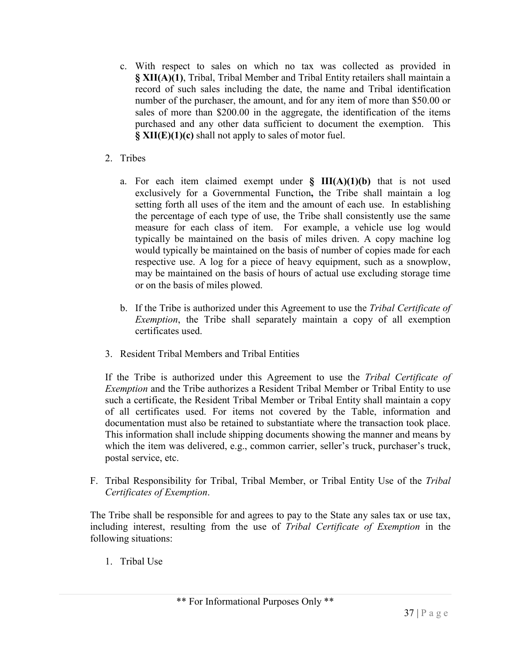- c. With respect to sales on which no tax was collected as provided in **§ XII(A)(1)**, Tribal, Tribal Member and Tribal Entity retailers shall maintain a record of such sales including the date, the name and Tribal identification number of the purchaser, the amount, and for any item of more than \$50.00 or sales of more than \$200.00 in the aggregate, the identification of the items purchased and any other data sufficient to document the exemption. This **§ XII(E)(1)(c)** shall not apply to sales of motor fuel.
- 2. Tribes
	- a. For each item claimed exempt under **§ III(A)(1)(b)** that is not used exclusively for a Governmental Function**,** the Tribe shall maintain a log setting forth all uses of the item and the amount of each use. In establishing the percentage of each type of use, the Tribe shall consistently use the same measure for each class of item. For example, a vehicle use log would typically be maintained on the basis of miles driven. A copy machine log would typically be maintained on the basis of number of copies made for each respective use. A log for a piece of heavy equipment, such as a snowplow, may be maintained on the basis of hours of actual use excluding storage time or on the basis of miles plowed.
	- b. If the Tribe is authorized under this Agreement to use the *Tribal Certificate of Exemption*, the Tribe shall separately maintain a copy of all exemption certificates used.
- 3. Resident Tribal Members and Tribal Entities

If the Tribe is authorized under this Agreement to use the *Tribal Certificate of Exemption* and the Tribe authorizes a Resident Tribal Member or Tribal Entity to use such a certificate, the Resident Tribal Member or Tribal Entity shall maintain a copy of all certificates used. For items not covered by the Table, information and documentation must also be retained to substantiate where the transaction took place. This information shall include shipping documents showing the manner and means by which the item was delivered, e.g., common carrier, seller's truck, purchaser's truck, postal service, etc.

F. Tribal Responsibility for Tribal, Tribal Member, or Tribal Entity Use of the *Tribal Certificates of Exemption*.

The Tribe shall be responsible for and agrees to pay to the State any sales tax or use tax, including interest, resulting from the use of *Tribal Certificate of Exemption* in the following situations:

1. Tribal Use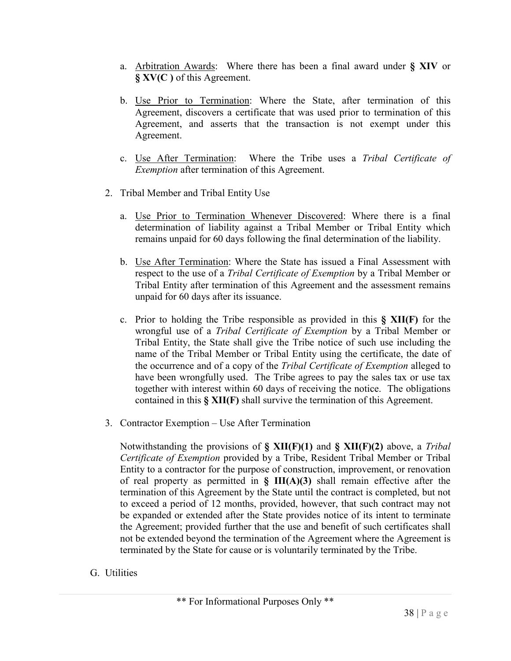- a. Arbitration Awards: Where there has been a final award under **§ XIV** or **§ XV(C )** of this Agreement.
- b. Use Prior to Termination: Where the State, after termination of this Agreement, discovers a certificate that was used prior to termination of this Agreement, and asserts that the transaction is not exempt under this Agreement.
- c. Use After Termination: Where the Tribe uses a *Tribal Certificate of Exemption* after termination of this Agreement.
- 2. Tribal Member and Tribal Entity Use
	- a. Use Prior to Termination Whenever Discovered: Where there is a final determination of liability against a Tribal Member or Tribal Entity which remains unpaid for 60 days following the final determination of the liability.
	- b. Use After Termination: Where the State has issued a Final Assessment with respect to the use of a *Tribal Certificate of Exemption* by a Tribal Member or Tribal Entity after termination of this Agreement and the assessment remains unpaid for 60 days after its issuance.
	- c. Prior to holding the Tribe responsible as provided in this **§ XII(F)** for the wrongful use of a *Tribal Certificate of Exemption* by a Tribal Member or Tribal Entity, the State shall give the Tribe notice of such use including the name of the Tribal Member or Tribal Entity using the certificate, the date of the occurrence and of a copy of the *Tribal Certificate of Exemption* alleged to have been wrongfully used. The Tribe agrees to pay the sales tax or use tax together with interest within 60 days of receiving the notice. The obligations contained in this **§ XII(F)** shall survive the termination of this Agreement.
- 3. Contractor Exemption Use After Termination

Notwithstanding the provisions of **§ XII(F)(1)** and **§ XII(F)(2)** above, a *Tribal Certificate of Exemption* provided by a Tribe, Resident Tribal Member or Tribal Entity to a contractor for the purpose of construction, improvement, or renovation of real property as permitted in **§ III(A)(3)** shall remain effective after the termination of this Agreement by the State until the contract is completed, but not to exceed a period of 12 months, provided, however, that such contract may not be expanded or extended after the State provides notice of its intent to terminate the Agreement; provided further that the use and benefit of such certificates shall not be extended beyond the termination of the Agreement where the Agreement is terminated by the State for cause or is voluntarily terminated by the Tribe.

G. Utilities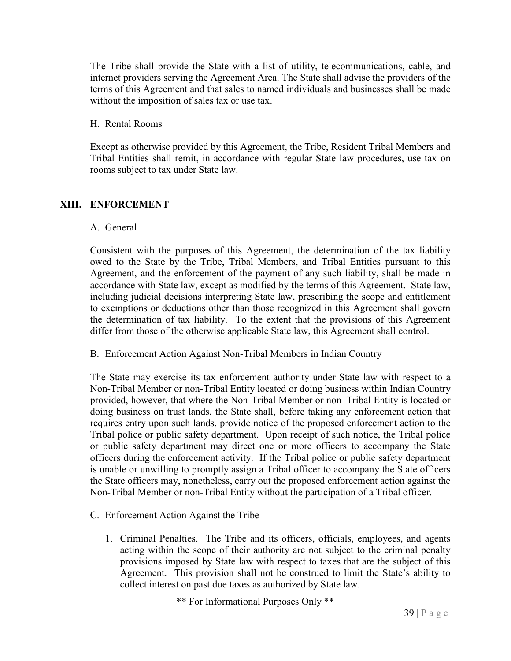The Tribe shall provide the State with a list of utility, telecommunications, cable, and internet providers serving the Agreement Area. The State shall advise the providers of the terms of this Agreement and that sales to named individuals and businesses shall be made without the imposition of sales tax or use tax.

#### H. Rental Rooms

Except as otherwise provided by this Agreement, the Tribe, Resident Tribal Members and Tribal Entities shall remit, in accordance with regular State law procedures, use tax on rooms subject to tax under State law.

# **XIII. ENFORCEMENT**

#### A. General

Consistent with the purposes of this Agreement, the determination of the tax liability owed to the State by the Tribe, Tribal Members, and Tribal Entities pursuant to this Agreement, and the enforcement of the payment of any such liability, shall be made in accordance with State law, except as modified by the terms of this Agreement. State law, including judicial decisions interpreting State law, prescribing the scope and entitlement to exemptions or deductions other than those recognized in this Agreement shall govern the determination of tax liability. To the extent that the provisions of this Agreement differ from those of the otherwise applicable State law, this Agreement shall control.

# B. Enforcement Action Against Non-Tribal Members in Indian Country

The State may exercise its tax enforcement authority under State law with respect to a Non-Tribal Member or non-Tribal Entity located or doing business within Indian Country provided, however, that where the Non-Tribal Member or non–Tribal Entity is located or doing business on trust lands, the State shall, before taking any enforcement action that requires entry upon such lands, provide notice of the proposed enforcement action to the Tribal police or public safety department. Upon receipt of such notice, the Tribal police or public safety department may direct one or more officers to accompany the State officers during the enforcement activity. If the Tribal police or public safety department is unable or unwilling to promptly assign a Tribal officer to accompany the State officers the State officers may, nonetheless, carry out the proposed enforcement action against the Non-Tribal Member or non-Tribal Entity without the participation of a Tribal officer.

- C. Enforcement Action Against the Tribe
	- 1. Criminal Penalties. The Tribe and its officers, officials, employees, and agents acting within the scope of their authority are not subject to the criminal penalty provisions imposed by State law with respect to taxes that are the subject of this Agreement. This provision shall not be construed to limit the State's ability to collect interest on past due taxes as authorized by State law.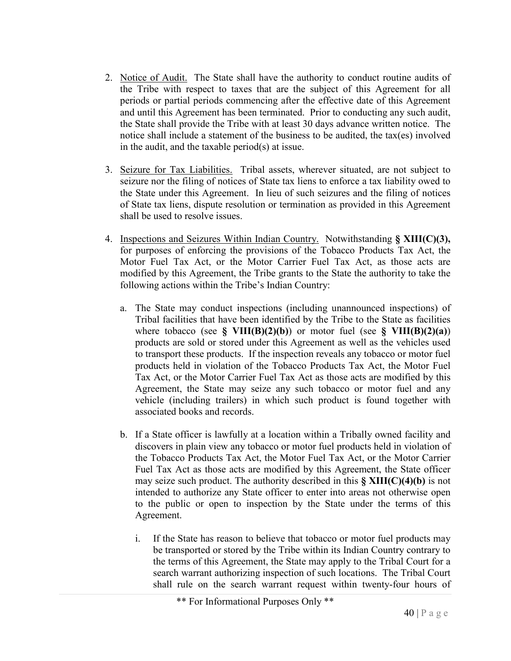- 2. Notice of Audit. The State shall have the authority to conduct routine audits of the Tribe with respect to taxes that are the subject of this Agreement for all periods or partial periods commencing after the effective date of this Agreement and until this Agreement has been terminated.Prior to conducting any such audit, the State shall provide the Tribe with at least 30 days advance written notice. The notice shall include a statement of the business to be audited, the tax(es) involved in the audit, and the taxable period(s) at issue.
- 3. Seizure for Tax Liabilities. Tribal assets, wherever situated, are not subject to seizure nor the filing of notices of State tax liens to enforce a tax liability owed to the State under this Agreement. In lieu of such seizures and the filing of notices of State tax liens, dispute resolution or termination as provided in this Agreement shall be used to resolve issues.
- 4. Inspections and Seizures Within Indian Country. Notwithstanding **§ XIII(C)(3),**  for purposes of enforcing the provisions of the Tobacco Products Tax Act, the Motor Fuel Tax Act, or the Motor Carrier Fuel Tax Act, as those acts are modified by this Agreement, the Tribe grants to the State the authority to take the following actions within the Tribe's Indian Country:
	- a. The State may conduct inspections (including unannounced inspections) of Tribal facilities that have been identified by the Tribe to the State as facilities where tobacco (see **§ VIII(B)(2)(b)**) or motor fuel (see **§ VIII(B)(2)(a)**) products are sold or stored under this Agreement as well as the vehicles used to transport these products. If the inspection reveals any tobacco or motor fuel products held in violation of the Tobacco Products Tax Act, the Motor Fuel Tax Act, or the Motor Carrier Fuel Tax Act as those acts are modified by this Agreement, the State may seize any such tobacco or motor fuel and any vehicle (including trailers) in which such product is found together with associated books and records.
	- b. If a State officer is lawfully at a location within a Tribally owned facility and discovers in plain view any tobacco or motor fuel products held in violation of the Tobacco Products Tax Act, the Motor Fuel Tax Act, or the Motor Carrier Fuel Tax Act as those acts are modified by this Agreement, the State officer may seize such product. The authority described in this **§ XIII(C)(4)(b)** is not intended to authorize any State officer to enter into areas not otherwise open to the public or open to inspection by the State under the terms of this Agreement.
		- i. If the State has reason to believe that tobacco or motor fuel products may be transported or stored by the Tribe within its Indian Country contrary to the terms of this Agreement, the State may apply to the Tribal Court for a search warrant authorizing inspection of such locations. The Tribal Court shall rule on the search warrant request within twenty-four hours of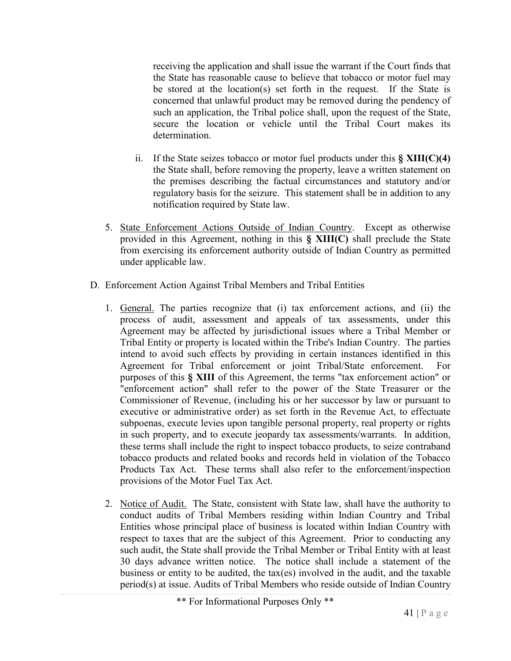receiving the application and shall issue the warrant if the Court finds that the State has reasonable cause to believe that tobacco or motor fuel may be stored at the location(s) set forth in the request. If the State is concerned that unlawful product may be removed during the pendency of such an application, the Tribal police shall, upon the request of the State, secure the location or vehicle until the Tribal Court makes its determination.

- ii. If the State seizes tobacco or motor fuel products under this **§ XIII(C)(4)** the State shall, before removing the property, leave a written statement on the premises describing the factual circumstances and statutory and/or regulatory basis for the seizure. This statement shall be in addition to any notification required by State law.
- 5. State Enforcement Actions Outside of Indian Country. Except as otherwise provided in this Agreement, nothing in this **§ XIII(C)** shall preclude the State from exercising its enforcement authority outside of Indian Country as permitted under applicable law.
- D. Enforcement Action Against Tribal Members and Tribal Entities
	- 1. General. The parties recognize that (i) tax enforcement actions, and (ii) the process of audit, assessment and appeals of tax assessments, under this Agreement may be affected by jurisdictional issues where a Tribal Member or Tribal Entity or property is located within the Tribe's Indian Country. The parties intend to avoid such effects by providing in certain instances identified in this Agreement for Tribal enforcement or joint Tribal/State enforcement. For purposes of this **§ XIII** of this Agreement, the terms "tax enforcement action" or "enforcement action" shall refer to the power of the State Treasurer or the Commissioner of Revenue, (including his or her successor by law or pursuant to executive or administrative order) as set forth in the Revenue Act, to effectuate subpoenas, execute levies upon tangible personal property, real property or rights in such property, and to execute jeopardy tax assessments/warrants. In addition, these terms shall include the right to inspect tobacco products, to seize contraband tobacco products and related books and records held in violation of the Tobacco Products Tax Act. These terms shall also refer to the enforcement/inspection provisions of the Motor Fuel Tax Act.
	- 2. Notice of Audit. The State, consistent with State law, shall have the authority to conduct audits of Tribal Members residing within Indian Country and Tribal Entities whose principal place of business is located within Indian Country with respect to taxes that are the subject of this Agreement. Prior to conducting any such audit, the State shall provide the Tribal Member or Tribal Entity with at least 30 days advance written notice. The notice shall include a statement of the business or entity to be audited, the tax(es) involved in the audit, and the taxable period(s) at issue. Audits of Tribal Members who reside outside of Indian Country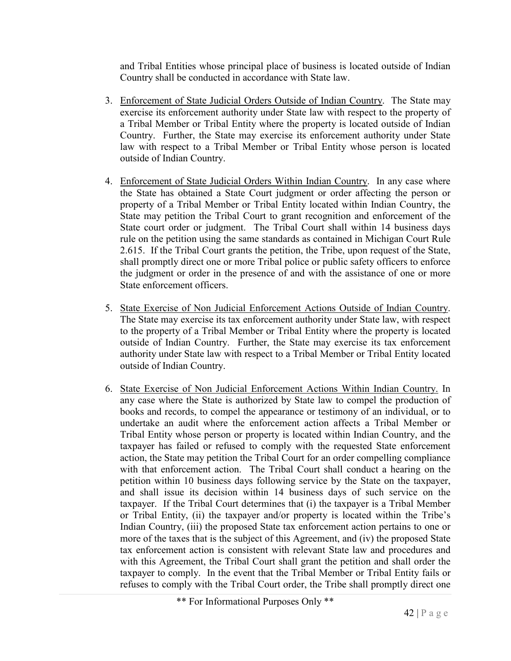and Tribal Entities whose principal place of business is located outside of Indian Country shall be conducted in accordance with State law.

- 3. Enforcement of State Judicial Orders Outside of Indian Country. The State may exercise its enforcement authority under State law with respect to the property of a Tribal Member or Tribal Entity where the property is located outside of Indian Country. Further, the State may exercise its enforcement authority under State law with respect to a Tribal Member or Tribal Entity whose person is located outside of Indian Country.
- 4. Enforcement of State Judicial Orders Within Indian Country. In any case where the State has obtained a State Court judgment or order affecting the person or property of a Tribal Member or Tribal Entity located within Indian Country, the State may petition the Tribal Court to grant recognition and enforcement of the State court order or judgment. The Tribal Court shall within 14 business days rule on the petition using the same standards as contained in Michigan Court Rule 2.615. If the Tribal Court grants the petition, the Tribe, upon request of the State, shall promptly direct one or more Tribal police or public safety officers to enforce the judgment or order in the presence of and with the assistance of one or more State enforcement officers.
- 5. State Exercise of Non Judicial Enforcement Actions Outside of Indian Country. The State may exercise its tax enforcement authority under State law, with respect to the property of a Tribal Member or Tribal Entity where the property is located outside of Indian Country. Further, the State may exercise its tax enforcement authority under State law with respect to a Tribal Member or Tribal Entity located outside of Indian Country.
- 6. State Exercise of Non Judicial Enforcement Actions Within Indian Country. In any case where the State is authorized by State law to compel the production of books and records, to compel the appearance or testimony of an individual, or to undertake an audit where the enforcement action affects a Tribal Member or Tribal Entity whose person or property is located within Indian Country, and the taxpayer has failed or refused to comply with the requested State enforcement action, the State may petition the Tribal Court for an order compelling compliance with that enforcement action. The Tribal Court shall conduct a hearing on the petition within 10 business days following service by the State on the taxpayer, and shall issue its decision within 14 business days of such service on the taxpayer. If the Tribal Court determines that (i) the taxpayer is a Tribal Member or Tribal Entity, (ii) the taxpayer and/or property is located within the Tribe's Indian Country, (iii) the proposed State tax enforcement action pertains to one or more of the taxes that is the subject of this Agreement, and (iv) the proposed State tax enforcement action is consistent with relevant State law and procedures and with this Agreement, the Tribal Court shall grant the petition and shall order the taxpayer to comply. In the event that the Tribal Member or Tribal Entity fails or refuses to comply with the Tribal Court order, the Tribe shall promptly direct one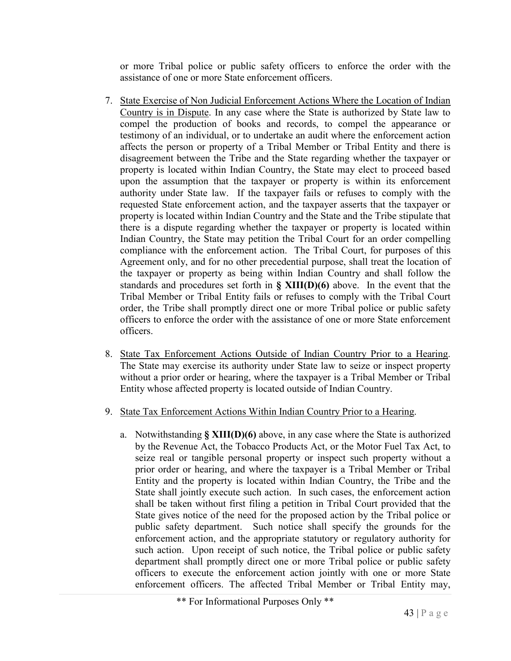or more Tribal police or public safety officers to enforce the order with the assistance of one or more State enforcement officers.

- 7. State Exercise of Non Judicial Enforcement Actions Where the Location of Indian Country is in Dispute. In any case where the State is authorized by State law to compel the production of books and records, to compel the appearance or testimony of an individual, or to undertake an audit where the enforcement action affects the person or property of a Tribal Member or Tribal Entity and there is disagreement between the Tribe and the State regarding whether the taxpayer or property is located within Indian Country, the State may elect to proceed based upon the assumption that the taxpayer or property is within its enforcement authority under State law. If the taxpayer fails or refuses to comply with the requested State enforcement action, and the taxpayer asserts that the taxpayer or property is located within Indian Country and the State and the Tribe stipulate that there is a dispute regarding whether the taxpayer or property is located within Indian Country, the State may petition the Tribal Court for an order compelling compliance with the enforcement action. The Tribal Court, for purposes of this Agreement only, and for no other precedential purpose, shall treat the location of the taxpayer or property as being within Indian Country and shall follow the standards and procedures set forth in **§ XIII(D)(6)** above. In the event that the Tribal Member or Tribal Entity fails or refuses to comply with the Tribal Court order, the Tribe shall promptly direct one or more Tribal police or public safety officers to enforce the order with the assistance of one or more State enforcement officers.
- 8. State Tax Enforcement Actions Outside of Indian Country Prior to a Hearing. The State may exercise its authority under State law to seize or inspect property without a prior order or hearing, where the taxpayer is a Tribal Member or Tribal Entity whose affected property is located outside of Indian Country.
- 9. State Tax Enforcement Actions Within Indian Country Prior to a Hearing.
	- a. Notwithstanding **§ XIII(D)(6)** above, in any case where the State is authorized by the Revenue Act, the Tobacco Products Act, or the Motor Fuel Tax Act, to seize real or tangible personal property or inspect such property without a prior order or hearing, and where the taxpayer is a Tribal Member or Tribal Entity and the property is located within Indian Country, the Tribe and the State shall jointly execute such action. In such cases, the enforcement action shall be taken without first filing a petition in Tribal Court provided that the State gives notice of the need for the proposed action by the Tribal police or public safety department. Such notice shall specify the grounds for the enforcement action, and the appropriate statutory or regulatory authority for such action. Upon receipt of such notice, the Tribal police or public safety department shall promptly direct one or more Tribal police or public safety officers to execute the enforcement action jointly with one or more State enforcement officers. The affected Tribal Member or Tribal Entity may,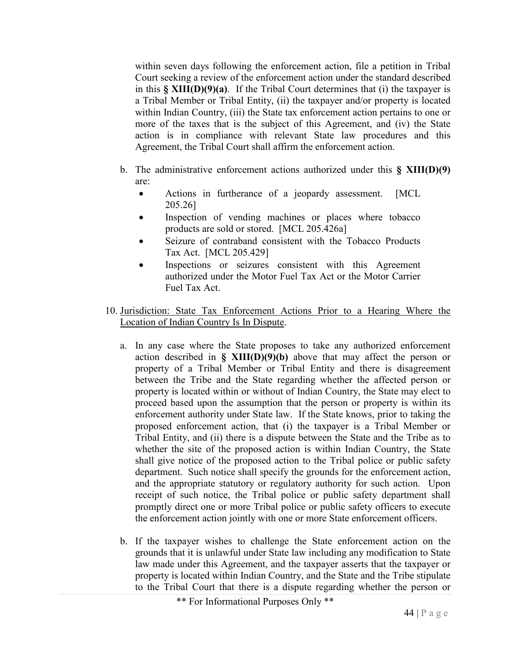within seven days following the enforcement action, file a petition in Tribal Court seeking a review of the enforcement action under the standard described in this **§ XIII(D)(9)(a)**. If the Tribal Court determines that (i) the taxpayer is a Tribal Member or Tribal Entity, (ii) the taxpayer and/or property is located within Indian Country, (iii) the State tax enforcement action pertains to one or more of the taxes that is the subject of this Agreement, and (iv) the State action is in compliance with relevant State law procedures and this Agreement, the Tribal Court shall affirm the enforcement action.

- b. The administrative enforcement actions authorized under this **§ XIII(D)(9)**  are:
	- Actions in furtherance of a jeopardy assessment. [MCL] 205.26]
	- Inspection of vending machines or places where tobacco products are sold or stored. [MCL 205.426a]
	- Seizure of contraband consistent with the Tobacco Products Tax Act. [MCL 205.429]
	- Inspections or seizures consistent with this Agreement authorized under the Motor Fuel Tax Act or the Motor Carrier Fuel Tax Act.
- 10. Jurisdiction: State Tax Enforcement Actions Prior to a Hearing Where the Location of Indian Country Is In Dispute.
	- a. In any case where the State proposes to take any authorized enforcement action described in  $\S$  **XIII(D)(9)(b)** above that may affect the person or property of a Tribal Member or Tribal Entity and there is disagreement between the Tribe and the State regarding whether the affected person or property is located within or without of Indian Country, the State may elect to proceed based upon the assumption that the person or property is within its enforcement authority under State law. If the State knows, prior to taking the proposed enforcement action, that (i) the taxpayer is a Tribal Member or Tribal Entity, and (ii) there is a dispute between the State and the Tribe as to whether the site of the proposed action is within Indian Country, the State shall give notice of the proposed action to the Tribal police or public safety department. Such notice shall specify the grounds for the enforcement action, and the appropriate statutory or regulatory authority for such action. Upon receipt of such notice, the Tribal police or public safety department shall promptly direct one or more Tribal police or public safety officers to execute the enforcement action jointly with one or more State enforcement officers.
	- b. If the taxpayer wishes to challenge the State enforcement action on the grounds that it is unlawful under State law including any modification to State law made under this Agreement, and the taxpayer asserts that the taxpayer or property is located within Indian Country, and the State and the Tribe stipulate to the Tribal Court that there is a dispute regarding whether the person or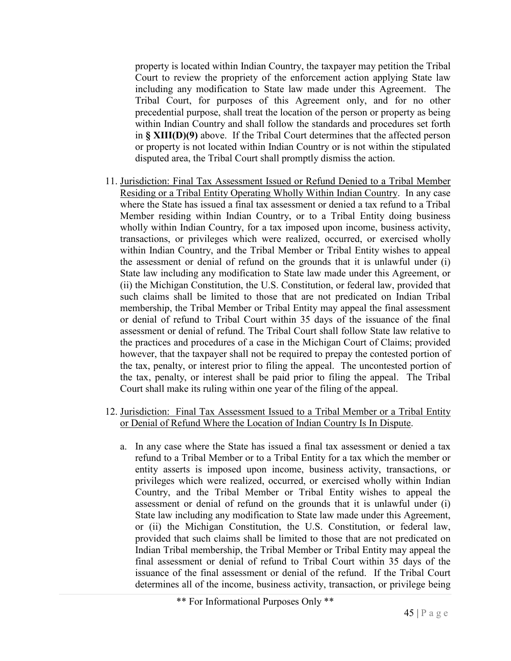property is located within Indian Country, the taxpayer may petition the Tribal Court to review the propriety of the enforcement action applying State law including any modification to State law made under this Agreement. The Tribal Court, for purposes of this Agreement only, and for no other precedential purpose, shall treat the location of the person or property as being within Indian Country and shall follow the standards and procedures set forth in **§ XIII(D)(9)** above. If the Tribal Court determines that the affected person or property is not located within Indian Country or is not within the stipulated disputed area, the Tribal Court shall promptly dismiss the action.

- 11. Jurisdiction: Final Tax Assessment Issued or Refund Denied to a Tribal Member Residing or a Tribal Entity Operating Wholly Within Indian Country. In any case where the State has issued a final tax assessment or denied a tax refund to a Tribal Member residing within Indian Country, or to a Tribal Entity doing business wholly within Indian Country, for a tax imposed upon income, business activity, transactions, or privileges which were realized, occurred, or exercised wholly within Indian Country, and the Tribal Member or Tribal Entity wishes to appeal the assessment or denial of refund on the grounds that it is unlawful under (i) State law including any modification to State law made under this Agreement, or (ii) the Michigan Constitution, the U.S. Constitution, or federal law, provided that such claims shall be limited to those that are not predicated on Indian Tribal membership, the Tribal Member or Tribal Entity may appeal the final assessment or denial of refund to Tribal Court within 35 days of the issuance of the final assessment or denial of refund. The Tribal Court shall follow State law relative to the practices and procedures of a case in the Michigan Court of Claims; provided however, that the taxpayer shall not be required to prepay the contested portion of the tax, penalty, or interest prior to filing the appeal. The uncontested portion of the tax, penalty, or interest shall be paid prior to filing the appeal. The Tribal Court shall make its ruling within one year of the filing of the appeal.
- 12. Jurisdiction: Final Tax Assessment Issued to a Tribal Member or a Tribal Entity or Denial of Refund Where the Location of Indian Country Is In Dispute.
	- a. In any case where the State has issued a final tax assessment or denied a tax refund to a Tribal Member or to a Tribal Entity for a tax which the member or entity asserts is imposed upon income, business activity, transactions, or privileges which were realized, occurred, or exercised wholly within Indian Country, and the Tribal Member or Tribal Entity wishes to appeal the assessment or denial of refund on the grounds that it is unlawful under (i) State law including any modification to State law made under this Agreement, or (ii) the Michigan Constitution, the U.S. Constitution, or federal law, provided that such claims shall be limited to those that are not predicated on Indian Tribal membership, the Tribal Member or Tribal Entity may appeal the final assessment or denial of refund to Tribal Court within 35 days of the issuance of the final assessment or denial of the refund. If the Tribal Court determines all of the income, business activity, transaction, or privilege being

<sup>\*\*</sup> For Informational Purposes Only \*\*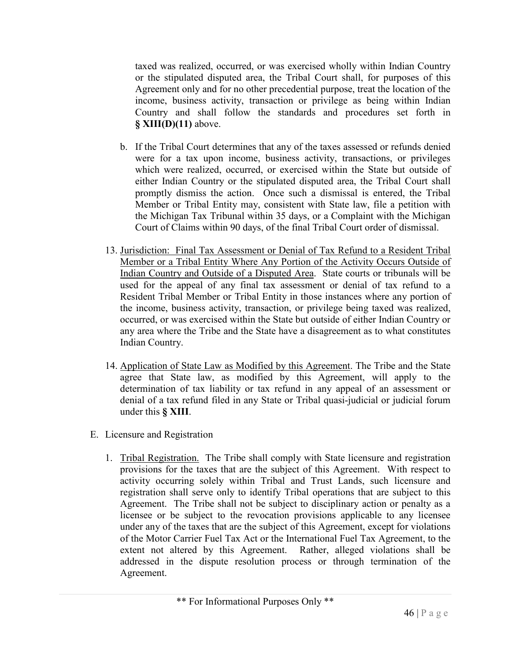taxed was realized, occurred, or was exercised wholly within Indian Country or the stipulated disputed area, the Tribal Court shall, for purposes of this Agreement only and for no other precedential purpose, treat the location of the income, business activity, transaction or privilege as being within Indian Country and shall follow the standards and procedures set forth in **§ XIII(D)(11)** above.

- b. If the Tribal Court determines that any of the taxes assessed or refunds denied were for a tax upon income, business activity, transactions, or privileges which were realized, occurred, or exercised within the State but outside of either Indian Country or the stipulated disputed area, the Tribal Court shall promptly dismiss the action. Once such a dismissal is entered, the Tribal Member or Tribal Entity may, consistent with State law, file a petition with the Michigan Tax Tribunal within 35 days, or a Complaint with the Michigan Court of Claims within 90 days, of the final Tribal Court order of dismissal.
- 13. Jurisdiction: Final Tax Assessment or Denial of Tax Refund to a Resident Tribal Member or a Tribal Entity Where Any Portion of the Activity Occurs Outside of Indian Country and Outside of a Disputed Area. State courts or tribunals will be used for the appeal of any final tax assessment or denial of tax refund to a Resident Tribal Member or Tribal Entity in those instances where any portion of the income, business activity, transaction, or privilege being taxed was realized, occurred, or was exercised within the State but outside of either Indian Country or any area where the Tribe and the State have a disagreement as to what constitutes Indian Country.
- 14. Application of State Law as Modified by this Agreement. The Tribe and the State agree that State law, as modified by this Agreement, will apply to the determination of tax liability or tax refund in any appeal of an assessment or denial of a tax refund filed in any State or Tribal quasi-judicial or judicial forum under this **§ XIII**.
- E. Licensure and Registration
	- 1. Tribal Registration. The Tribe shall comply with State licensure and registration provisions for the taxes that are the subject of this Agreement. With respect to activity occurring solely within Tribal and Trust Lands, such licensure and registration shall serve only to identify Tribal operations that are subject to this Agreement. The Tribe shall not be subject to disciplinary action or penalty as a licensee or be subject to the revocation provisions applicable to any licensee under any of the taxes that are the subject of this Agreement, except for violations of the Motor Carrier Fuel Tax Act or the International Fuel Tax Agreement, to the extent not altered by this Agreement. Rather, alleged violations shall be addressed in the dispute resolution process or through termination of the Agreement.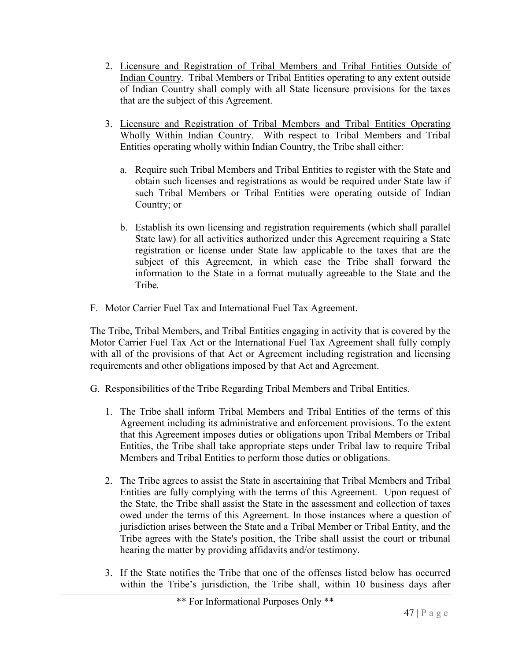- 2. Licensure and Registration of Tribal Members and Tribal Entities Outside of Indian Country. Tribal Members or Tribal Entities operating to any extent outside of Indian Country shall comply with all State licensure provisions for the taxes that are the subject of this Agreement.
- 3. Licensure and Registration of Tribal Members and Tribal Entities Operating Wholly Within Indian Country. With respect to Tribal Members and Tribal Entities operating wholly within Indian Country, the Tribe shall either:
	- a. Require such Tribal Members and Tribal Entities to register with the State and obtain such licenses and registrations as would be required under State law if such Tribal Members or Tribal Entities were operating outside of Indian Country; or
	- b. Establish its own licensing and registration requirements (which shall parallel State law) for all activities authorized under this Agreement requiring a State registration or license under State law applicable to the taxes that are the subject of this Agreement, in which case the Tribe shall forward the information to the State in a format mutually agreeable to the State and the Tribe*.*
- F. Motor Carrier Fuel Tax and International Fuel Tax Agreement.

The Tribe, Tribal Members, and Tribal Entities engaging in activity that is covered by the Motor Carrier Fuel Tax Act or the International Fuel Tax Agreement shall fully comply with all of the provisions of that Act or Agreement including registration and licensing requirements and other obligations imposed by that Act and Agreement.

- G. Responsibilities of the Tribe Regarding Tribal Members and Tribal Entities.
	- 1. The Tribe shall inform Tribal Members and Tribal Entities of the terms of this Agreement including its administrative and enforcement provisions. To the extent that this Agreement imposes duties or obligations upon Tribal Members or Tribal Entities, the Tribe shall take appropriate steps under Tribal law to require Tribal Members and Tribal Entities to perform those duties or obligations.
	- 2. The Tribe agrees to assist the State in ascertaining that Tribal Members and Tribal Entities are fully complying with the terms of this Agreement. Upon request of the State, the Tribe shall assist the State in the assessment and collection of taxes owed under the terms of this Agreement. In those instances where a question of jurisdiction arises between the State and a Tribal Member or Tribal Entity, and the Tribe agrees with the State's position, the Tribe shall assist the court or tribunal hearing the matter by providing affidavits and/or testimony.
	- 3. If the State notifies the Tribe that one of the offenses listed below has occurred within the Tribe's jurisdiction, the Tribe shall, within 10 business days after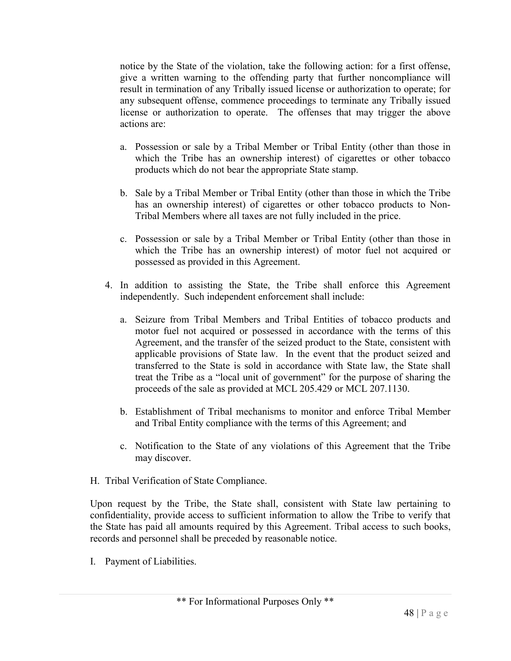notice by the State of the violation, take the following action: for a first offense, give a written warning to the offending party that further noncompliance will result in termination of any Tribally issued license or authorization to operate; for any subsequent offense, commence proceedings to terminate any Tribally issued license or authorization to operate. The offenses that may trigger the above actions are:

- a. Possession or sale by a Tribal Member or Tribal Entity (other than those in which the Tribe has an ownership interest) of cigarettes or other tobacco products which do not bear the appropriate State stamp.
- b. Sale by a Tribal Member or Tribal Entity (other than those in which the Tribe has an ownership interest) of cigarettes or other tobacco products to Non-Tribal Members where all taxes are not fully included in the price.
- c. Possession or sale by a Tribal Member or Tribal Entity (other than those in which the Tribe has an ownership interest) of motor fuel not acquired or possessed as provided in this Agreement.
- 4. In addition to assisting the State, the Tribe shall enforce this Agreement independently. Such independent enforcement shall include:
	- a. Seizure from Tribal Members and Tribal Entities of tobacco products and motor fuel not acquired or possessed in accordance with the terms of this Agreement, and the transfer of the seized product to the State, consistent with applicable provisions of State law. In the event that the product seized and transferred to the State is sold in accordance with State law, the State shall treat the Tribe as a "local unit of government" for the purpose of sharing the proceeds of the sale as provided at MCL 205.429 or MCL 207.1130.
	- b. Establishment of Tribal mechanisms to monitor and enforce Tribal Member and Tribal Entity compliance with the terms of this Agreement; and
	- c. Notification to the State of any violations of this Agreement that the Tribe may discover.
- H. Tribal Verification of State Compliance.

Upon request by the Tribe, the State shall, consistent with State law pertaining to confidentiality, provide access to sufficient information to allow the Tribe to verify that the State has paid all amounts required by this Agreement. Tribal access to such books, records and personnel shall be preceded by reasonable notice.

I. Payment of Liabilities.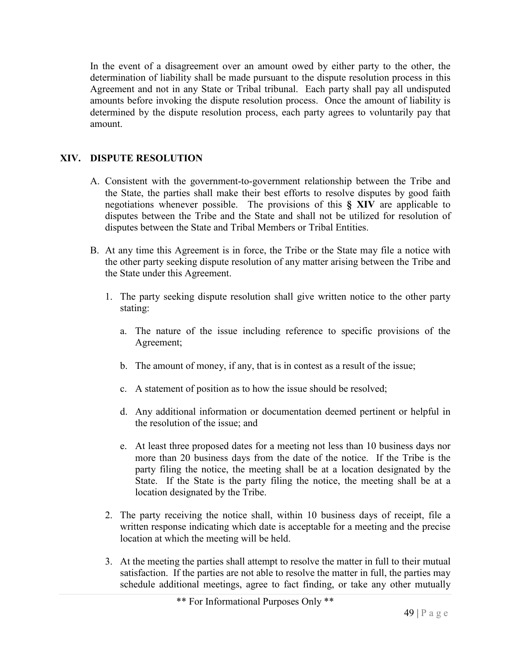In the event of a disagreement over an amount owed by either party to the other, the determination of liability shall be made pursuant to the dispute resolution process in this Agreement and not in any State or Tribal tribunal. Each party shall pay all undisputed amounts before invoking the dispute resolution process. Once the amount of liability is determined by the dispute resolution process, each party agrees to voluntarily pay that amount.

# **XIV. DISPUTE RESOLUTION**

- A. Consistent with the government-to-government relationship between the Tribe and the State, the parties shall make their best efforts to resolve disputes by good faith negotiations whenever possible. The provisions of this **§ XIV** are applicable to disputes between the Tribe and the State and shall not be utilized for resolution of disputes between the State and Tribal Members or Tribal Entities.
- B. At any time this Agreement is in force, the Tribe or the State may file a notice with the other party seeking dispute resolution of any matter arising between the Tribe and the State under this Agreement.
	- 1. The party seeking dispute resolution shall give written notice to the other party stating:
		- a. The nature of the issue including reference to specific provisions of the Agreement;
		- b. The amount of money, if any, that is in contest as a result of the issue;
		- c. A statement of position as to how the issue should be resolved;
		- d. Any additional information or documentation deemed pertinent or helpful in the resolution of the issue; and
		- e. At least three proposed dates for a meeting not less than 10 business days nor more than 20 business days from the date of the notice. If the Tribe is the party filing the notice, the meeting shall be at a location designated by the State. If the State is the party filing the notice, the meeting shall be at a location designated by the Tribe.
	- 2. The party receiving the notice shall, within 10 business days of receipt, file a written response indicating which date is acceptable for a meeting and the precise location at which the meeting will be held.
	- 3. At the meeting the parties shall attempt to resolve the matter in full to their mutual satisfaction. If the parties are not able to resolve the matter in full, the parties may schedule additional meetings, agree to fact finding, or take any other mutually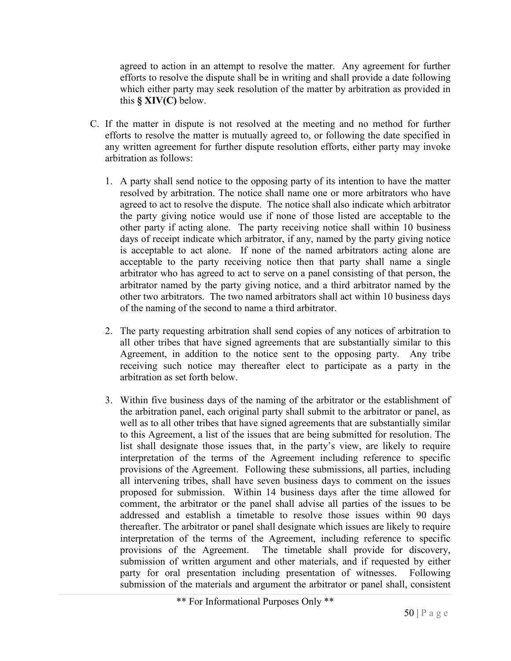agreed to action in an attempt to resolve the matter. Any agreement for further efforts to resolve the dispute shall be in writing and shall provide a date following which either party may seek resolution of the matter by arbitration as provided in this **§ XIV(C)** below.

- C. If the matter in dispute is not resolved at the meeting and no method for further efforts to resolve the matter is mutually agreed to, or following the date specified in any written agreement for further dispute resolution efforts, either party may invoke arbitration as follows:
	- 1. A party shall send notice to the opposing party of its intention to have the matter resolved by arbitration. The notice shall name one or more arbitrators who have agreed to act to resolve the dispute. The notice shall also indicate which arbitrator the party giving notice would use if none of those listed are acceptable to the other party if acting alone. The party receiving notice shall within 10 business days of receipt indicate which arbitrator, if any, named by the party giving notice is acceptable to act alone. If none of the named arbitrators acting alone are acceptable to the party receiving notice then that party shall name a single arbitrator who has agreed to act to serve on a panel consisting of that person, the arbitrator named by the party giving notice, and a third arbitrator named by the other two arbitrators. The two named arbitrators shall act within 10 business days of the naming of the second to name a third arbitrator.
	- 2. The party requesting arbitration shall send copies of any notices of arbitration to all other tribes that have signed agreements that are substantially similar to this Agreement, in addition to the notice sent to the opposing party. Any tribe receiving such notice may thereafter elect to participate as a party in the arbitration as set forth below.
	- 3. Within five business days of the naming of the arbitrator or the establishment of the arbitration panel, each original party shall submit to the arbitrator or panel, as well as to all other tribes that have signed agreements that are substantially similar to this Agreement, a list of the issues that are being submitted for resolution. The list shall designate those issues that, in the party's view, are likely to require interpretation of the terms of the Agreement including reference to specific provisions of the Agreement. Following these submissions, all parties, including all intervening tribes, shall have seven business days to comment on the issues proposed for submission. Within 14 business days after the time allowed for comment, the arbitrator or the panel shall advise all parties of the issues to be addressed and establish a timetable to resolve those issues within 90 days thereafter. The arbitrator or panel shall designate which issues are likely to require interpretation of the terms of the Agreement, including reference to specific provisions of the Agreement. The timetable shall provide for discovery, submission of written argument and other materials, and if requested by either party for oral presentation including presentation of witnesses. Following submission of the materials and argument the arbitrator or panel shall, consistent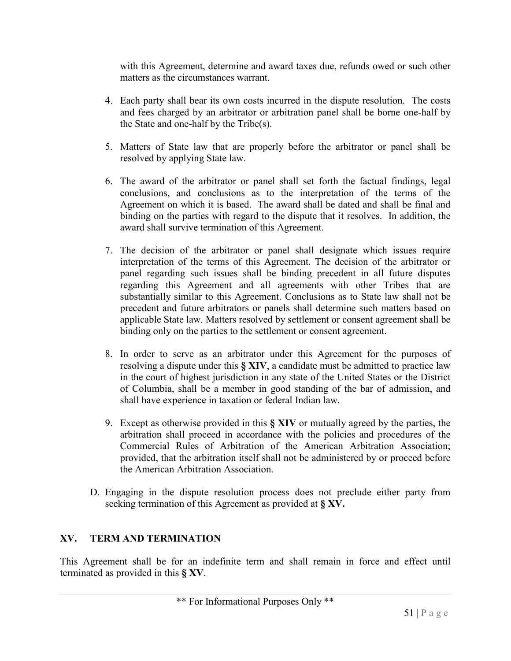with this Agreement, determine and award taxes due, refunds owed or such other matters as the circumstances warrant.

- 4. Each party shall bear its own costs incurred in the dispute resolution. The costs and fees charged by an arbitrator or arbitration panel shall be borne one-half by the State and one-half by the Tribe(s).
- 5. Matters of State law that are properly before the arbitrator or panel shall be resolved by applying State law.
- 6. The award of the arbitrator or panel shall set forth the factual findings, legal conclusions, and conclusions as to the interpretation of the terms of the Agreement on which it is based. The award shall be dated and shall be final and binding on the parties with regard to the dispute that it resolves. In addition, the award shall survive termination of this Agreement.
- 7. The decision of the arbitrator or panel shall designate which issues require interpretation of the terms of this Agreement. The decision of the arbitrator or panel regarding such issues shall be binding precedent in all future disputes regarding this Agreement and all agreements with other Tribes that are substantially similar to this Agreement. Conclusions as to State law shall not be precedent and future arbitrators or panels shall determine such matters based on applicable State law. Matters resolved by settlement or consent agreement shall be binding only on the parties to the settlement or consent agreement.
- 8. In order to serve as an arbitrator under this Agreement for the purposes of resolving a dispute under this **§ XIV**, a candidate must be admitted to practice law in the court of highest jurisdiction in any state of the United States or the District of Columbia, shall be a member in good standing of the bar of admission, and shall have experience in taxation or federal Indian law.
- 9. Except as otherwise provided in this **§ XIV** or mutually agreed by the parties, the arbitration shall proceed in accordance with the policies and procedures of the Commercial Rules of Arbitration of the American Arbitration Association; provided, that the arbitration itself shall not be administered by or proceed before the American Arbitration Association.
- D. Engaging in the dispute resolution process does not preclude either party from seeking termination of this Agreement as provided at **§ XV.**

# **XV. TERM AND TERMINATION**

This Agreement shall be for an indefinite term and shall remain in force and effect until terminated as provided in this **§ XV**.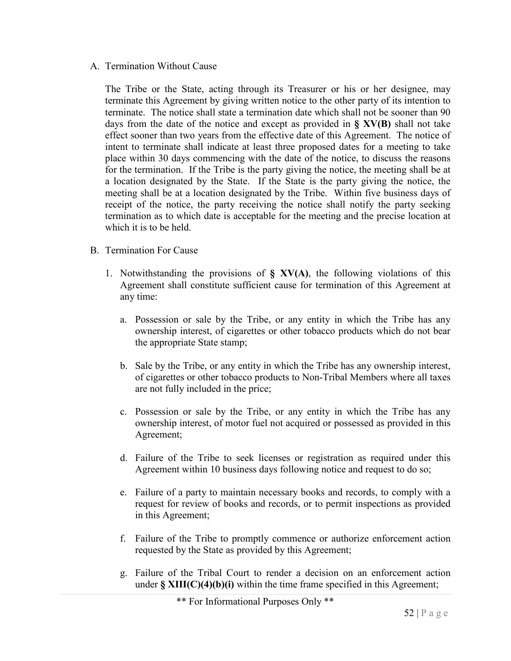#### A. Termination Without Cause

The Tribe or the State, acting through its Treasurer or his or her designee, may terminate this Agreement by giving written notice to the other party of its intention to terminate. The notice shall state a termination date which shall not be sooner than 90 days from the date of the notice and except as provided in **§ XV(B)** shall not take effect sooner than two years from the effective date of this Agreement. The notice of intent to terminate shall indicate at least three proposed dates for a meeting to take place within 30 days commencing with the date of the notice, to discuss the reasons for the termination. If the Tribe is the party giving the notice, the meeting shall be at a location designated by the State. If the State is the party giving the notice, the meeting shall be at a location designated by the Tribe. Within five business days of receipt of the notice, the party receiving the notice shall notify the party seeking termination as to which date is acceptable for the meeting and the precise location at which it is to be held.

- B. Termination For Cause
	- 1. Notwithstanding the provisions of **§ XV(A)**, the following violations of this Agreement shall constitute sufficient cause for termination of this Agreement at any time:
		- a. Possession or sale by the Tribe, or any entity in which the Tribe has any ownership interest, of cigarettes or other tobacco products which do not bear the appropriate State stamp;
		- b. Sale by the Tribe, or any entity in which the Tribe has any ownership interest, of cigarettes or other tobacco products to Non-Tribal Members where all taxes are not fully included in the price;
		- c. Possession or sale by the Tribe, or any entity in which the Tribe has any ownership interest, of motor fuel not acquired or possessed as provided in this Agreement;
		- d. Failure of the Tribe to seek licenses or registration as required under this Agreement within 10 business days following notice and request to do so;
		- e. Failure of a party to maintain necessary books and records, to comply with a request for review of books and records, or to permit inspections as provided in this Agreement;
		- f. Failure of the Tribe to promptly commence or authorize enforcement action requested by the State as provided by this Agreement;
		- g. Failure of the Tribal Court to render a decision on an enforcement action under **§ XIII(C)(4)(b)(i)** within the time frame specified in this Agreement;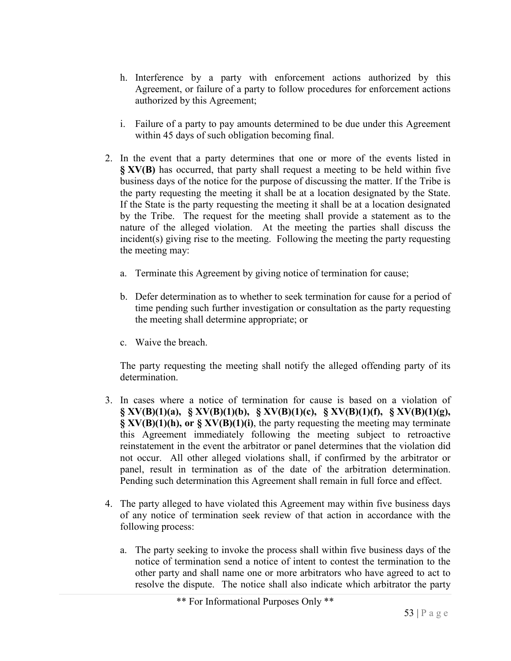- h. Interference by a party with enforcement actions authorized by this Agreement, or failure of a party to follow procedures for enforcement actions authorized by this Agreement;
- i. Failure of a party to pay amounts determined to be due under this Agreement within 45 days of such obligation becoming final.
- 2. In the event that a party determines that one or more of the events listed in **§ XV(B)** has occurred, that party shall request a meeting to be held within five business days of the notice for the purpose of discussing the matter. If the Tribe is the party requesting the meeting it shall be at a location designated by the State. If the State is the party requesting the meeting it shall be at a location designated by the Tribe. The request for the meeting shall provide a statement as to the nature of the alleged violation. At the meeting the parties shall discuss the incident(s) giving rise to the meeting. Following the meeting the party requesting the meeting may:
	- a. Terminate this Agreement by giving notice of termination for cause;
	- b. Defer determination as to whether to seek termination for cause for a period of time pending such further investigation or consultation as the party requesting the meeting shall determine appropriate; or
	- c. Waive the breach.

The party requesting the meeting shall notify the alleged offending party of its determination.

- 3. In cases where a notice of termination for cause is based on a violation of **§ XV(B)(1)(a), § XV(B)(1)(b), § XV(B)(1)(c), § XV(B)(1)(f), § XV(B)(1)(g), § XV(B)(1)(h), or § XV(B)(1)(i)**, the party requesting the meeting may terminate this Agreement immediately following the meeting subject to retroactive reinstatement in the event the arbitrator or panel determines that the violation did not occur. All other alleged violations shall, if confirmed by the arbitrator or panel, result in termination as of the date of the arbitration determination. Pending such determination this Agreement shall remain in full force and effect.
- 4. The party alleged to have violated this Agreement may within five business days of any notice of termination seek review of that action in accordance with the following process:
	- a. The party seeking to invoke the process shall within five business days of the notice of termination send a notice of intent to contest the termination to the other party and shall name one or more arbitrators who have agreed to act to resolve the dispute. The notice shall also indicate which arbitrator the party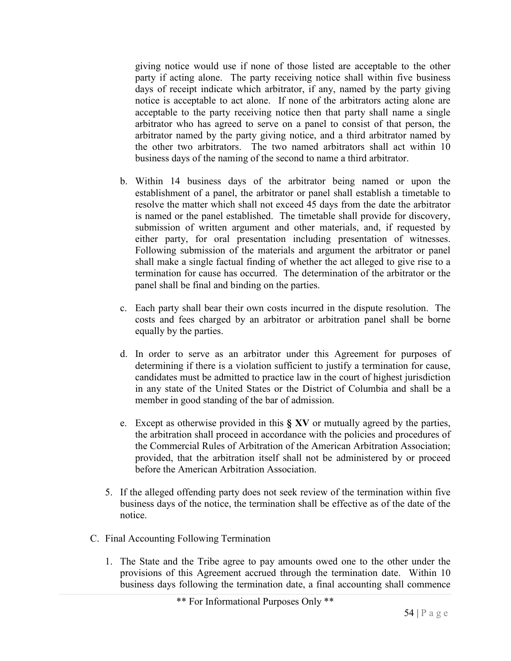giving notice would use if none of those listed are acceptable to the other party if acting alone. The party receiving notice shall within five business days of receipt indicate which arbitrator, if any, named by the party giving notice is acceptable to act alone. If none of the arbitrators acting alone are acceptable to the party receiving notice then that party shall name a single arbitrator who has agreed to serve on a panel to consist of that person, the arbitrator named by the party giving notice, and a third arbitrator named by the other two arbitrators. The two named arbitrators shall act within 10 business days of the naming of the second to name a third arbitrator.

- b. Within 14 business days of the arbitrator being named or upon the establishment of a panel, the arbitrator or panel shall establish a timetable to resolve the matter which shall not exceed 45 days from the date the arbitrator is named or the panel established. The timetable shall provide for discovery, submission of written argument and other materials, and, if requested by either party, for oral presentation including presentation of witnesses. Following submission of the materials and argument the arbitrator or panel shall make a single factual finding of whether the act alleged to give rise to a termination for cause has occurred. The determination of the arbitrator or the panel shall be final and binding on the parties.
- c. Each party shall bear their own costs incurred in the dispute resolution. The costs and fees charged by an arbitrator or arbitration panel shall be borne equally by the parties.
- d. In order to serve as an arbitrator under this Agreement for purposes of determining if there is a violation sufficient to justify a termination for cause, candidates must be admitted to practice law in the court of highest jurisdiction in any state of the United States or the District of Columbia and shall be a member in good standing of the bar of admission.
- e. Except as otherwise provided in this **§ XV** or mutually agreed by the parties, the arbitration shall proceed in accordance with the policies and procedures of the Commercial Rules of Arbitration of the American Arbitration Association; provided, that the arbitration itself shall not be administered by or proceed before the American Arbitration Association.
- 5. If the alleged offending party does not seek review of the termination within five business days of the notice, the termination shall be effective as of the date of the notice.
- C. Final Accounting Following Termination
	- 1. The State and the Tribe agree to pay amounts owed one to the other under the provisions of this Agreement accrued through the termination date. Within 10 business days following the termination date, a final accounting shall commence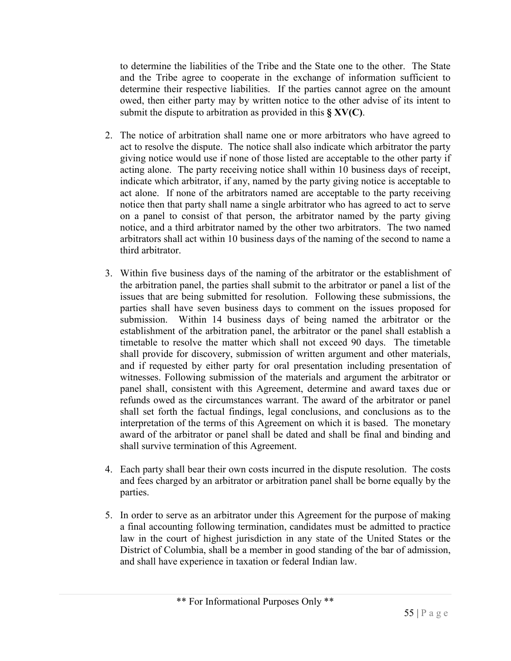to determine the liabilities of the Tribe and the State one to the other. The State and the Tribe agree to cooperate in the exchange of information sufficient to determine their respective liabilities. If the parties cannot agree on the amount owed, then either party may by written notice to the other advise of its intent to submit the dispute to arbitration as provided in this **§ XV(C)**.

- 2. The notice of arbitration shall name one or more arbitrators who have agreed to act to resolve the dispute. The notice shall also indicate which arbitrator the party giving notice would use if none of those listed are acceptable to the other party if acting alone. The party receiving notice shall within 10 business days of receipt, indicate which arbitrator, if any, named by the party giving notice is acceptable to act alone. If none of the arbitrators named are acceptable to the party receiving notice then that party shall name a single arbitrator who has agreed to act to serve on a panel to consist of that person, the arbitrator named by the party giving notice, and a third arbitrator named by the other two arbitrators. The two named arbitrators shall act within 10 business days of the naming of the second to name a third arbitrator.
- 3. Within five business days of the naming of the arbitrator or the establishment of the arbitration panel, the parties shall submit to the arbitrator or panel a list of the issues that are being submitted for resolution. Following these submissions, the parties shall have seven business days to comment on the issues proposed for submission. Within 14 business days of being named the arbitrator or the establishment of the arbitration panel, the arbitrator or the panel shall establish a timetable to resolve the matter which shall not exceed 90 days. The timetable shall provide for discovery, submission of written argument and other materials, and if requested by either party for oral presentation including presentation of witnesses. Following submission of the materials and argument the arbitrator or panel shall, consistent with this Agreement, determine and award taxes due or refunds owed as the circumstances warrant. The award of the arbitrator or panel shall set forth the factual findings, legal conclusions, and conclusions as to the interpretation of the terms of this Agreement on which it is based. The monetary award of the arbitrator or panel shall be dated and shall be final and binding and shall survive termination of this Agreement.
- 4. Each party shall bear their own costs incurred in the dispute resolution. The costs and fees charged by an arbitrator or arbitration panel shall be borne equally by the parties.
- 5. In order to serve as an arbitrator under this Agreement for the purpose of making a final accounting following termination, candidates must be admitted to practice law in the court of highest jurisdiction in any state of the United States or the District of Columbia, shall be a member in good standing of the bar of admission, and shall have experience in taxation or federal Indian law.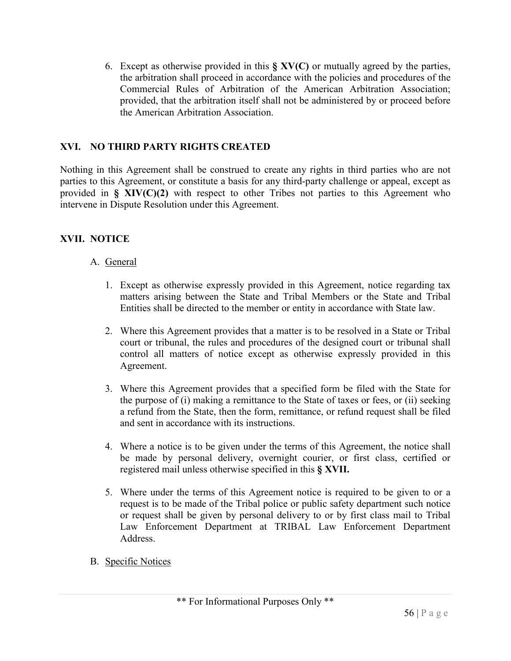6. Except as otherwise provided in this **§ XV(C)** or mutually agreed by the parties, the arbitration shall proceed in accordance with the policies and procedures of the Commercial Rules of Arbitration of the American Arbitration Association; provided, that the arbitration itself shall not be administered by or proceed before the American Arbitration Association.

# **XVI. NO THIRD PARTY RIGHTS CREATED**

Nothing in this Agreement shall be construed to create any rights in third parties who are not parties to this Agreement, or constitute a basis for any third-party challenge or appeal, except as provided in **§ XIV(C)(2)** with respect to other Tribes not parties to this Agreement who intervene in Dispute Resolution under this Agreement.

# **XVII. NOTICE**

#### A. General

- 1. Except as otherwise expressly provided in this Agreement, notice regarding tax matters arising between the State and Tribal Members or the State and Tribal Entities shall be directed to the member or entity in accordance with State law.
- 2. Where this Agreement provides that a matter is to be resolved in a State or Tribal court or tribunal, the rules and procedures of the designed court or tribunal shall control all matters of notice except as otherwise expressly provided in this Agreement.
- 3. Where this Agreement provides that a specified form be filed with the State for the purpose of (i) making a remittance to the State of taxes or fees, or (ii) seeking a refund from the State, then the form, remittance, or refund request shall be filed and sent in accordance with its instructions.
- 4. Where a notice is to be given under the terms of this Agreement, the notice shall be made by personal delivery, overnight courier, or first class, certified or registered mail unless otherwise specified in this **§ XVII.**
- 5. Where under the terms of this Agreement notice is required to be given to or a request is to be made of the Tribal police or public safety department such notice or request shall be given by personal delivery to or by first class mail to Tribal Law Enforcement Department at TRIBAL Law Enforcement Department Address.
- B. Specific Notices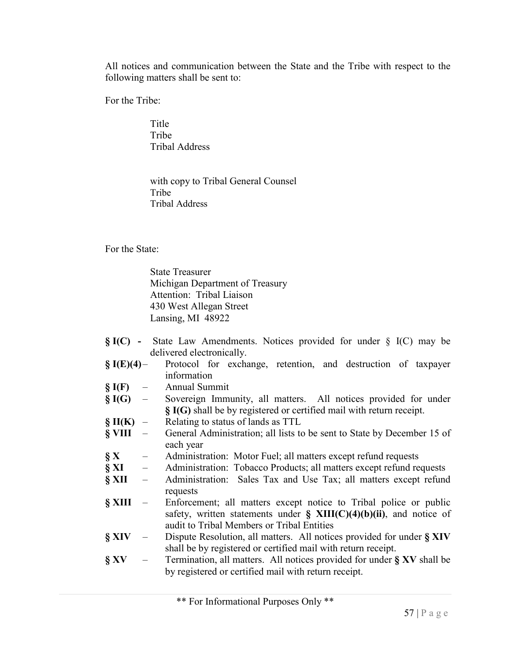All notices and communication between the State and the Tribe with respect to the following matters shall be sent to:

For the Tribe:

Title Tribe Tribal Address

with copy to Tribal General Counsel Tribe Tribal Address

For the State:

State Treasurer Michigan Department of Treasury Attention: Tribal Liaison 430 West Allegan Street Lansing, MI 48922

- **§ I(C) -** State Law Amendments. Notices provided for under § I(C) may be delivered electronically.
- **§ I(E)(4)** Protocol for exchange, retention, and destruction of taxpayer information
- **§ I(F)** Annual Summit
- **§ I(G)** Sovereign Immunity, all matters. All notices provided for under **§ I(G)** shall be by registered or certified mail with return receipt.
- **§ II(K)** Relating to status of lands as TTL
- **§ VIII** General Administration; all lists to be sent to State by December 15 of each year
- **§ X** Administration: Motor Fuel; all matters except refund requests
- **§ XI** Administration: Tobacco Products; all matters except refund requests
- **§ XII** Administration: Sales Tax and Use Tax; all matters except refund requests
- **§ XIII** Enforcement; all matters except notice to Tribal police or public safety, written statements under **§ XIII(C)(4)(b)(ii)**, and notice of audit to Tribal Members or Tribal Entities
- **§ XIV** Dispute Resolution, all matters. All notices provided for under **§ XIV** shall be by registered or certified mail with return receipt.
- **§ XV** Termination, all matters. All notices provided for under **§ XV** shall be by registered or certified mail with return receipt.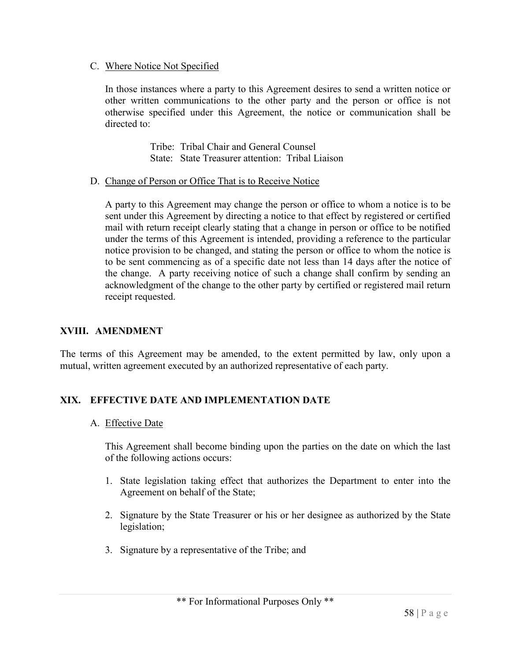#### C. Where Notice Not Specified

In those instances where a party to this Agreement desires to send a written notice or other written communications to the other party and the person or office is not otherwise specified under this Agreement, the notice or communication shall be directed to:

> Tribe: Tribal Chair and General Counsel State: State Treasurer attention: Tribal Liaison

#### D. Change of Person or Office That is to Receive Notice

A party to this Agreement may change the person or office to whom a notice is to be sent under this Agreement by directing a notice to that effect by registered or certified mail with return receipt clearly stating that a change in person or office to be notified under the terms of this Agreement is intended, providing a reference to the particular notice provision to be changed, and stating the person or office to whom the notice is to be sent commencing as of a specific date not less than 14 days after the notice of the change. A party receiving notice of such a change shall confirm by sending an acknowledgment of the change to the other party by certified or registered mail return receipt requested.

#### **XVIII. AMENDMENT**

The terms of this Agreement may be amended, to the extent permitted by law, only upon a mutual, written agreement executed by an authorized representative of each party.

# **XIX. EFFECTIVE DATE AND IMPLEMENTATION DATE**

#### A. Effective Date

This Agreement shall become binding upon the parties on the date on which the last of the following actions occurs:

- 1. State legislation taking effect that authorizes the Department to enter into the Agreement on behalf of the State;
- 2. Signature by the State Treasurer or his or her designee as authorized by the State legislation;
- 3. Signature by a representative of the Tribe; and